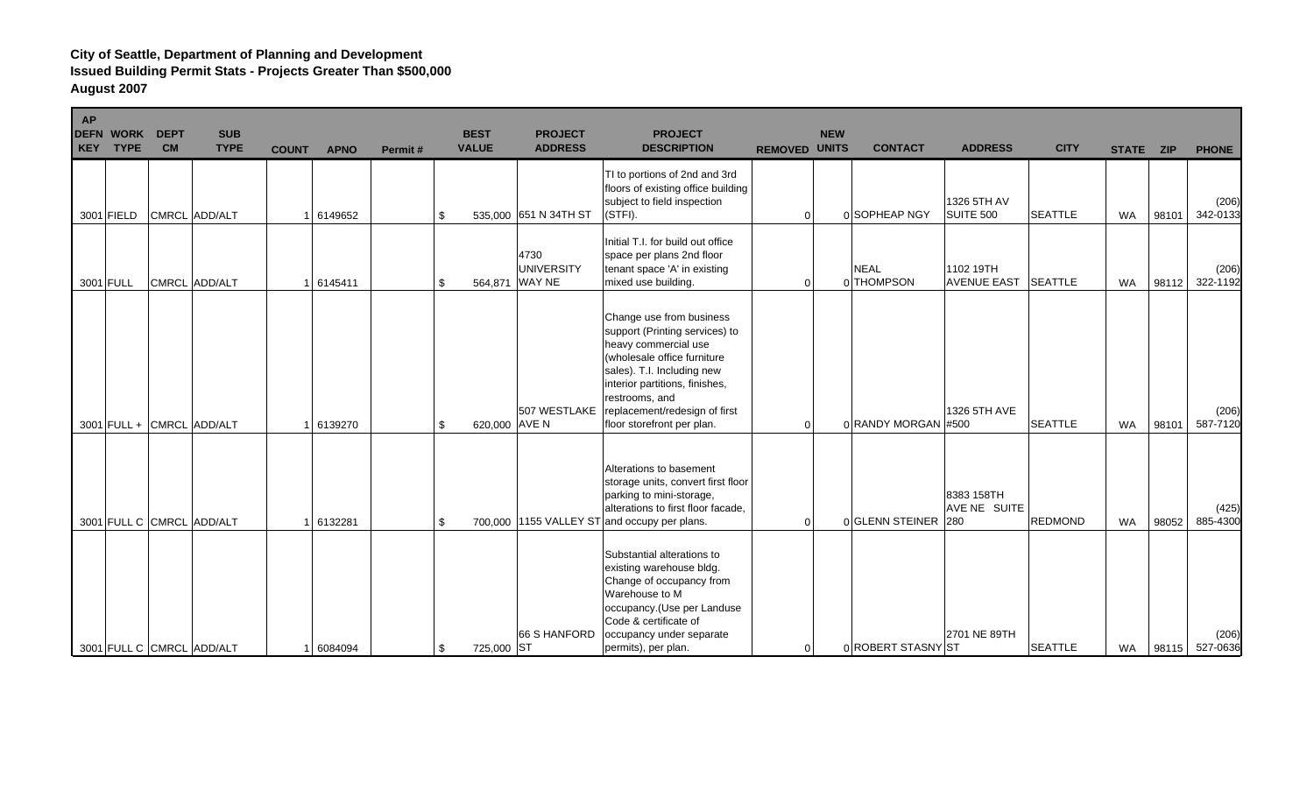| AP | <b>DEFN WORK</b><br>KEY TYPE | <b>DEPT</b><br><b>CM</b> | <b>SUB</b><br><b>TYPE</b> | <b>COUNT</b> | <b>APNO</b> | Permit# | <b>BEST</b><br><b>VALUE</b> | <b>PROJECT</b><br><b>ADDRESS</b>            | <b>PROJECT</b><br><b>DESCRIPTION</b>                                                                                                                                                                                                                               | <b>REMOVED UNITS</b> | <b>NEW</b> | <b>CONTACT</b>            | <b>ADDRESS</b>                    | <b>CITY</b>    | STATE ZIP |       | <b>PHONE</b>      |
|----|------------------------------|--------------------------|---------------------------|--------------|-------------|---------|-----------------------------|---------------------------------------------|--------------------------------------------------------------------------------------------------------------------------------------------------------------------------------------------------------------------------------------------------------------------|----------------------|------------|---------------------------|-----------------------------------|----------------|-----------|-------|-------------------|
|    | 3001 FIELD                   |                          | CMRCL ADD/ALT             |              | 6149652     |         | -\$                         | 535,000 651 N 34TH ST                       | TI to portions of 2nd and 3rd<br>floors of existing office building<br>subject to field inspection<br>(STFI).                                                                                                                                                      | $\Omega$             |            | 0 SOPHEAP NGY             | 1326 5TH AV<br>SUITE 500          | <b>SEATTLE</b> | <b>WA</b> | 98101 | (206)<br>342-0133 |
|    | 3001 FULL                    |                          | CMRCL ADD/ALT             |              | 6145411     |         | -\$                         | 4730<br><b>UNIVERSITY</b><br>564,871 WAY NE | Initial T.I. for build out office<br>space per plans 2nd floor<br>tenant space 'A' in existing<br>mixed use building.                                                                                                                                              | $\Omega$             |            | <b>NEAL</b><br>0 THOMPSON | 1102 19TH<br><b>AVENUE EAST</b>   | <b>SEATTLE</b> | <b>WA</b> | 98112 | (206)<br>322-1192 |
|    |                              |                          | 3001 FULL + CMRCL ADD/ALT |              | 6139270     |         | 620,000 AVE N<br>-\$        | 507 WESTLAKE                                | Change use from business<br>support (Printing services) to<br>heavy commercial use<br>(wholesale office furniture<br>sales). T.I. Including new<br>interior partitions, finishes,<br>restrooms, and<br>replacement/redesign of first<br>floor storefront per plan. | $\Omega$             |            | 0 RANDY MORGAN #500       | 1326 5TH AVE                      | <b>SEATTLE</b> | <b>WA</b> | 98101 | (206)<br>587-7120 |
|    |                              |                          | 3001 FULL C CMRCL ADD/ALT |              | 6132281     |         | -\$                         |                                             | Alterations to basement<br>storage units, convert first floor<br>parking to mini-storage,<br>alterations to first floor facade,<br>700,000 1155 VALLEY ST and occupy per plans.                                                                                    | $\Omega$             |            | 0 GLENN STEINER           | 8383 158TH<br>AVE NE SUITE<br>280 | <b>REDMOND</b> | <b>WA</b> | 98052 | (425)<br>885-4300 |
|    |                              |                          | 3001 FULL C CMRCL ADD/ALT |              | 6084094     |         | 725,000 ST<br>-\$           | 66 S HANFORD                                | Substantial alterations to<br>existing warehouse bldg.<br>Change of occupancy from<br>Warehouse to M<br>occupancy. (Use per Landuse<br>Code & certificate of<br>occupancy under separate<br>permits), per plan.                                                    | $\Omega$             |            | 0 ROBERT STASNY ST        | 2701 NE 89TH                      | <b>SEATTLE</b> | WA        | 98115 | (206)<br>527-0636 |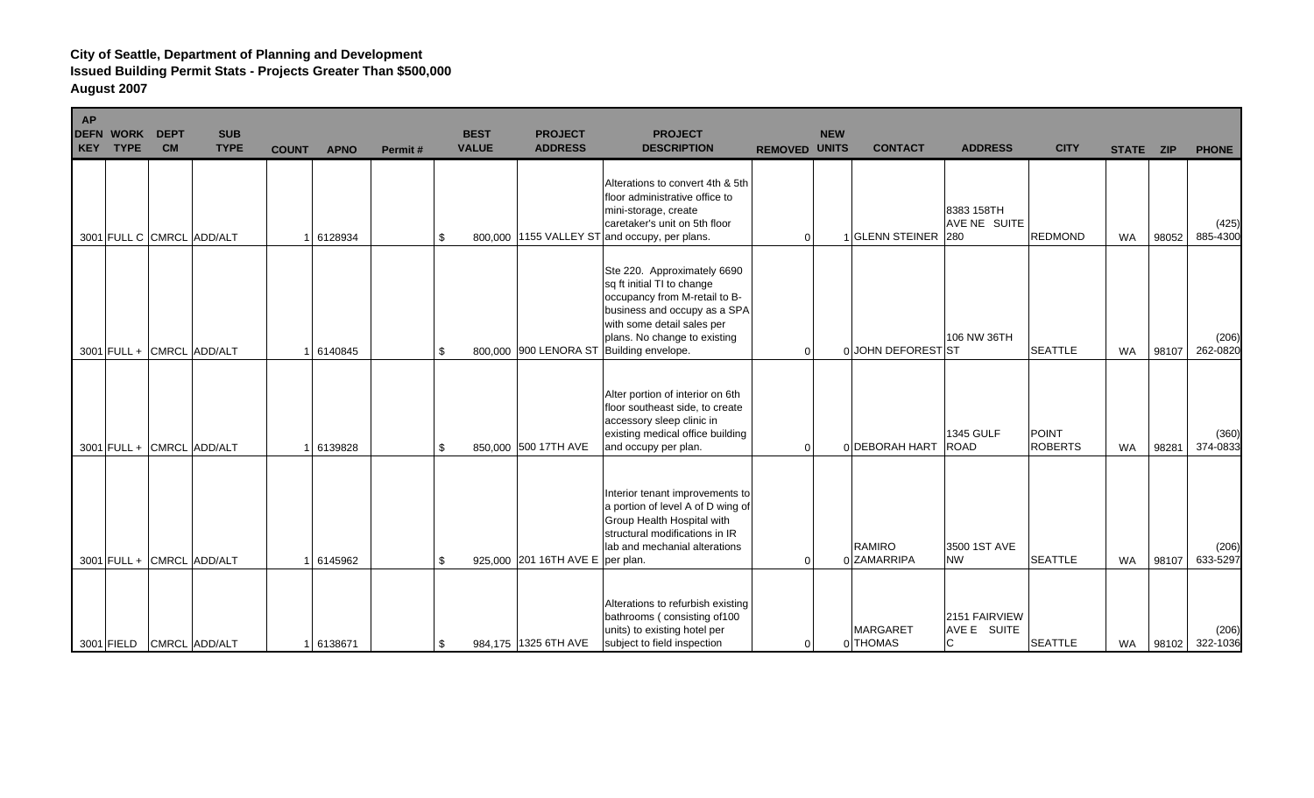| AP | <b>DEFN WORK</b><br>KEY TYPE | <b>DEPT</b><br><b>CM</b> | <b>SUB</b><br><b>TYPE</b> | <b>COUNT</b> | <b>APNO</b> | Permit# | <b>BEST</b><br><b>VALUE</b> | <b>PROJECT</b><br><b>ADDRESS</b>   | <b>PROJECT</b><br><b>DESCRIPTION</b>                                                                                                                                                                                                 | <b>REMOVED UNITS</b> | <b>NEW</b> | <b>CONTACT</b>               | <b>ADDRESS</b>                    | <b>CITY</b>                    | STATE ZIP |       | <b>PHONE</b>      |
|----|------------------------------|--------------------------|---------------------------|--------------|-------------|---------|-----------------------------|------------------------------------|--------------------------------------------------------------------------------------------------------------------------------------------------------------------------------------------------------------------------------------|----------------------|------------|------------------------------|-----------------------------------|--------------------------------|-----------|-------|-------------------|
|    |                              |                          | 3001 FULL C CMRCL ADD/ALT |              | 6128934     |         | \$                          |                                    | Alterations to convert 4th & 5th<br>floor administrative office to<br>mini-storage, create<br>caretaker's unit on 5th floor<br>800,000 1155 VALLEY ST and occupy, per plans.                                                         | 0                    |            | 1 GLENN STEINER 280          | 8383 158TH<br><b>AVE NE SUITE</b> | <b>REDMOND</b>                 | <b>WA</b> | 98052 | (425)<br>885-4300 |
|    |                              |                          | 3001 FULL + CMRCL ADD/ALT |              | 6140845     |         | \$                          |                                    | Ste 220. Approximately 6690<br>sq ft initial TI to change<br>occupancy from M-retail to B-<br>business and occupy as a SPA<br>with some detail sales per<br>plans. No change to existing<br>800,000 900 LENORA ST Building envelope. | 0                    |            | 0 JOHN DEFOREST ST           | 106 NW 36TH                       | <b>SEATTLE</b>                 | <b>WA</b> | 98107 | (206)<br>262-0820 |
|    |                              |                          | 3001 FULL + CMRCL ADD/ALT |              | 6139828     |         | \$                          | 850,000 500 17TH AVE               | Alter portion of interior on 6th<br>floor southeast side, to create<br>accessory sleep clinic in<br>existing medical office building<br>and occupy per plan.                                                                         | 0                    |            | 0 DEBORAH HART               | <b>1345 GULF</b><br><b>ROAD</b>   | <b>POINT</b><br><b>ROBERTS</b> | <b>WA</b> | 98281 | (360)<br>374-0833 |
|    |                              |                          | 3001 FULL + CMRCL ADD/ALT |              | 6145962     |         | \$                          | 925,000 201 16TH AVE E   per plan. | Interior tenant improvements to<br>a portion of level A of D wing of<br>Group Health Hospital with<br>structural modifications in IR<br>lab and mechanial alterations                                                                | 0                    |            | <b>RAMIRO</b><br>0 ZAMARRIPA | 3500 1ST AVE<br><b>NW</b>         | <b>SEATTLE</b>                 | <b>WA</b> | 98107 | (206)<br>633-5297 |
|    |                              |                          | 3001 FIELD CMRCL ADD/ALT  |              | 1 6138671   |         | \$                          | 984,175   1325 6TH AVE             | Alterations to refurbish existing<br>bathrooms (consisting of 100<br>units) to existing hotel per<br>subject to field inspection                                                                                                     | 0                    |            | <b>MARGARET</b><br>0 THOMAS  | 2151 FAIRVIEW<br>AVE E SUITE<br>C | <b>SEATTLE</b>                 | <b>WA</b> | 98102 | (206)<br>322-1036 |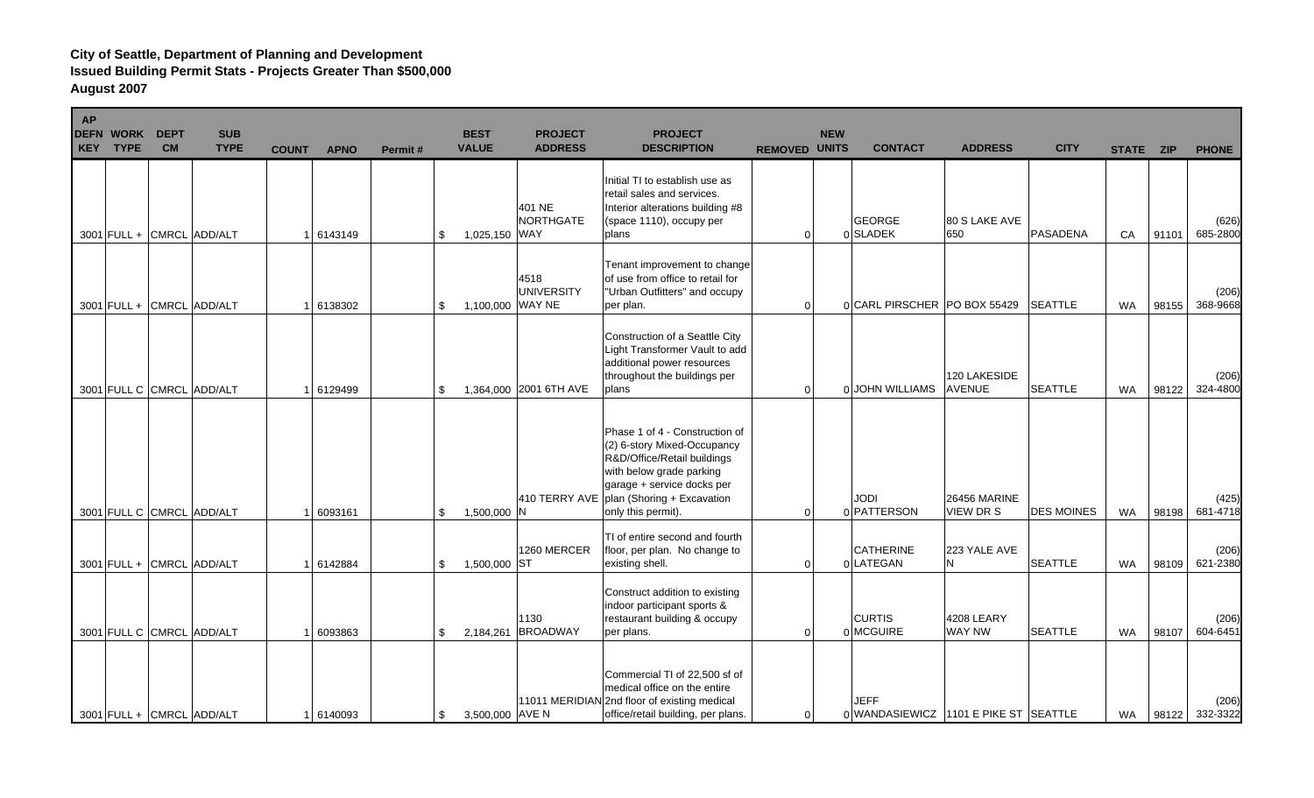| <b>AP</b> | <b>DEFN WORK</b><br>KEY TYPE | <b>DEPT</b><br><b>CM</b> | <b>SUB</b><br><b>TYPE</b> | <b>COUNT</b> | <b>APNO</b> | Permit# | <b>BEST</b><br><b>VALUE</b> | <b>PROJECT</b><br><b>ADDRESS</b> | <b>PROJECT</b><br><b>DESCRIPTION</b>                                                                                                                                                                       | <b>REMOVED UNITS</b> | <b>NEW</b> | <b>CONTACT</b>                                       | <b>ADDRESS</b>                   | <b>CITY</b>       | STATE ZIP |       | <b>PHONE</b>      |
|-----------|------------------------------|--------------------------|---------------------------|--------------|-------------|---------|-----------------------------|----------------------------------|------------------------------------------------------------------------------------------------------------------------------------------------------------------------------------------------------------|----------------------|------------|------------------------------------------------------|----------------------------------|-------------------|-----------|-------|-------------------|
|           | 3001 FULL + CMRCL ADD/ALT    |                          |                           |              | 6143149     | \$      | 1,025,150 WAY               | 401 NE<br><b>NORTHGATE</b>       | Initial TI to establish use as<br>retail sales and services.<br>Interior alterations building #8<br>(space 1110), occupy per<br>plans                                                                      | $\overline{0}$       |            | <b>GEORGE</b><br>0 SLADEK                            | 80 S LAKE AVE<br>650             | <b>PASADENA</b>   | CA        | 91101 | (626)<br>685-2800 |
|           |                              |                          | 3001 FULL + CMRCL ADD/ALT |              | 6138302     | -\$     | 1,100,000 WAY NE            | 4518<br><b>UNIVERSITY</b>        | Tenant improvement to change<br>of use from office to retail for<br>"Urban Outfitters" and occupy<br>per plan.                                                                                             | $\Omega$             |            | 0 CARL PIRSCHER   PO BOX 55429                       |                                  | <b>SEATTLE</b>    | <b>WA</b> | 98155 | (206)<br>368-9668 |
|           |                              |                          | 3001 FULL C CMRCL ADD/ALT |              | 6129499     | \$      |                             | 1,364,000 2001 6TH AVE           | Construction of a Seattle City<br>Light Transformer Vault to add<br>additional power resources<br>throughout the buildings per<br>plans                                                                    | $\mathbf 0$          |            | 0 JOHN WILLIAMS                                      | 120 LAKESIDE<br><b>AVENUE</b>    | <b>SEATTLE</b>    | <b>WA</b> | 98122 | (206)<br>324-4800 |
|           |                              |                          | 3001 FULL C CMRCL ADD/ALT |              | 6093161     | -\$     | 1,500,000 N                 | 410 TERRY AVE                    | Phase 1 of 4 - Construction of<br>(2) 6-story Mixed-Occupancy<br>R&D/Office/Retail buildings<br>with below grade parking<br>garage + service docks per<br>plan (Shoring + Excavation<br>only this permit). | $\overline{0}$       |            | IODI<br>0 PATTERSON                                  | 26456 MARINE<br><b>VIEW DR S</b> | <b>DES MOINES</b> | <b>WA</b> | 98198 | (425)<br>681-4718 |
|           |                              |                          | 3001 FULL + CMRCL ADD/ALT |              | 1 6142884   | \$      | 1,500,000 ST                | 1260 MERCER                      | TI of entire second and fourth<br>floor, per plan. No change to<br>existing shell.                                                                                                                         | $\overline{0}$       |            | <b>CATHERINE</b><br>0 LATEGAN                        | 223 YALE AVE<br>N                | <b>SEATTLE</b>    | <b>WA</b> | 98109 | (206)<br>621-2380 |
|           |                              |                          | 3001 FULL C CMRCL ADD/ALT |              | 6093863     | \$      | 2.184.261                   | 1130<br><b>BROADWAY</b>          | Construct addition to existing<br>indoor participant sports &<br>restaurant building & occupy<br>per plans.                                                                                                | $\Omega$             |            | <b>CURTIS</b><br>0 MCGUIRE                           | 4208 LEARY<br><b>WAY NW</b>      | <b>SEATTLE</b>    | <b>WA</b> | 98107 | (206)<br>604-6451 |
|           | 3001 FULL + CMRCL ADD/ALT    |                          |                           |              | 1 6140093   | \$      | 3,500,000 AVE N             |                                  | Commercial TI of 22,500 sf of<br>medical office on the entire<br>11011 MERIDIAN 2nd floor of existing medical<br>office/retail building, per plans.                                                        | $\overline{0}$       |            | <b>JEFF</b><br>0 WANDASIEWICZ 1101 E PIKE ST SEATTLE |                                  |                   | <b>WA</b> | 98122 | (206)<br>332-3322 |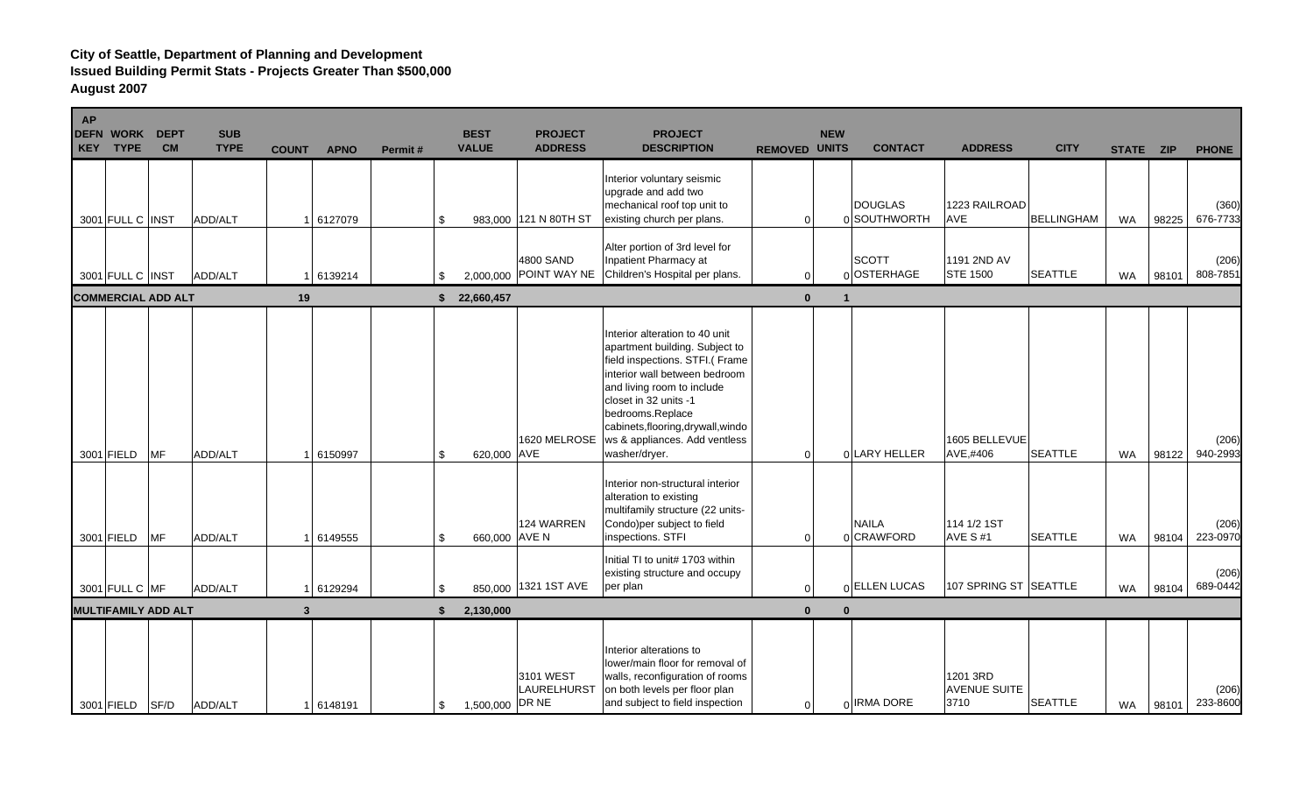| <b>AP</b><br><b>DEFN</b><br><b>KEY</b> | <b>WORK</b><br><b>TYPE</b> | <b>DEPT</b><br><b>CM</b>   | <b>SUB</b><br><b>TYPE</b> | <b>COUNT</b> | <b>APNO</b> | Permit# | <b>BEST</b><br><b>VALUE</b> | <b>PROJECT</b><br><b>ADDRESS</b> | <b>PROJECT</b><br><b>DESCRIPTION</b>                                                                                                                                                                                                                                                                    | <b>REMOVED UNITS</b> | <b>NEW</b>   | <b>CONTACT</b>                 | <b>ADDRESS</b>                          | <b>CITY</b>       | STATE ZIP |       | <b>PHONE</b>      |
|----------------------------------------|----------------------------|----------------------------|---------------------------|--------------|-------------|---------|-----------------------------|----------------------------------|---------------------------------------------------------------------------------------------------------------------------------------------------------------------------------------------------------------------------------------------------------------------------------------------------------|----------------------|--------------|--------------------------------|-----------------------------------------|-------------------|-----------|-------|-------------------|
|                                        | 3001 FULL C INST           |                            | ADD/ALT                   |              | 1 6127079   |         | \$                          | 983,000 121 N 80TH ST            | Interior voluntary seismic<br>upgrade and add two<br>mechanical roof top unit to<br>existing church per plans.                                                                                                                                                                                          | $\overline{0}$       |              | <b>DOUGLAS</b><br>0 SOUTHWORTH | 1223 RAILROAD<br><b>AVE</b>             | <b>BELLINGHAM</b> | WA        | 98225 | (360)<br>676-7733 |
|                                        | 3001 FULL C INST           |                            | ADD/ALT                   |              | 6139214     | \$      | 2,000,000                   | 4800 SAND                        | Alter portion of 3rd level for<br>Inpatient Pharmacy at<br>POINT WAY NE Children's Hospital per plans.                                                                                                                                                                                                  | $\Omega$             |              | <b>SCOTT</b><br>0 OSTERHAGE    | 1191 2ND AV<br><b>STE 1500</b>          | <b>SEATTLE</b>    | <b>WA</b> | 98101 | (206)<br>808-7851 |
|                                        |                            | <b>COMMERCIAL ADD ALT</b>  |                           | 19           |             |         | 22,660,457<br>\$            |                                  |                                                                                                                                                                                                                                                                                                         | $\mathbf{0}$         |              |                                |                                         |                   |           |       |                   |
|                                        | 3001 FIELD                 | <b>MF</b>                  | ADD/ALT                   |              | 6150997     |         | 620,000 AVE<br>\$           | 1620 MELROSE                     | Interior alteration to 40 unit<br>apartment building. Subject to<br>field inspections. STFI.( Frame<br>interior wall between bedroom<br>and living room to include<br>closet in 32 units -1<br>bedrooms.Replace<br>cabinets, flooring, drywall, windo<br>ws & appliances. Add ventless<br>washer/dryer. | $\overline{0}$       |              | 0 LARY HELLER                  | 1605 BELLEVUE<br>AVE,#406               | <b>SEATTLE</b>    | <b>WA</b> | 98122 | (206)<br>940-2993 |
|                                        | 3001 FIELD                 | <b>MF</b>                  | ADD/ALT                   |              | 6149555     | -\$     | 660,000 AVE N               | <b>124 WARREN</b>                | Interior non-structural interior<br>alteration to existing<br>multifamily structure (22 units-<br>Condo) per subject to field<br>inspections. STFI                                                                                                                                                      | $\Omega$             |              | <b>NAILA</b><br>0 CRAWFORD     | 114 1/2 1ST<br><b>AVE S#1</b>           | <b>SEATTLE</b>    | <b>WA</b> | 98104 | (206)<br>223-0970 |
|                                        | 3001 FULL C MF             |                            | ADD/ALT                   |              | 1 6129294   |         | \$                          | 850,000 1321 1ST AVE             | Initial TI to unit# 1703 within<br>existing structure and occupy<br>per plan                                                                                                                                                                                                                            | $\overline{0}$       |              | 0 ELLEN LUCAS                  | 107 SPRING ST SEATTLE                   |                   | <b>WA</b> | 98104 | (206)<br>689-0442 |
|                                        |                            | <b>MULTIFAMILY ADD ALT</b> |                           | $\mathbf{3}$ |             | -9      | 2,130,000                   |                                  |                                                                                                                                                                                                                                                                                                         | $\mathbf{0}$         | $\mathbf{0}$ |                                |                                         |                   |           |       |                   |
|                                        | 3001 FIELD                 | SF/D                       | ADD/ALT                   |              | 1 6148191   | \$      | 1,500,000 DR NE             | 3101 WEST<br>LAURELHURST         | Interior alterations to<br>lower/main floor for removal of<br>walls, reconfiguration of rooms<br>on both levels per floor plan<br>and subject to field inspection                                                                                                                                       | $\Omega$             |              | 0 IRMA DORE                    | 1201 3RD<br><b>AVENUE SUITE</b><br>3710 | <b>SEATTLE</b>    | <b>WA</b> | 98101 | (206)<br>233-8600 |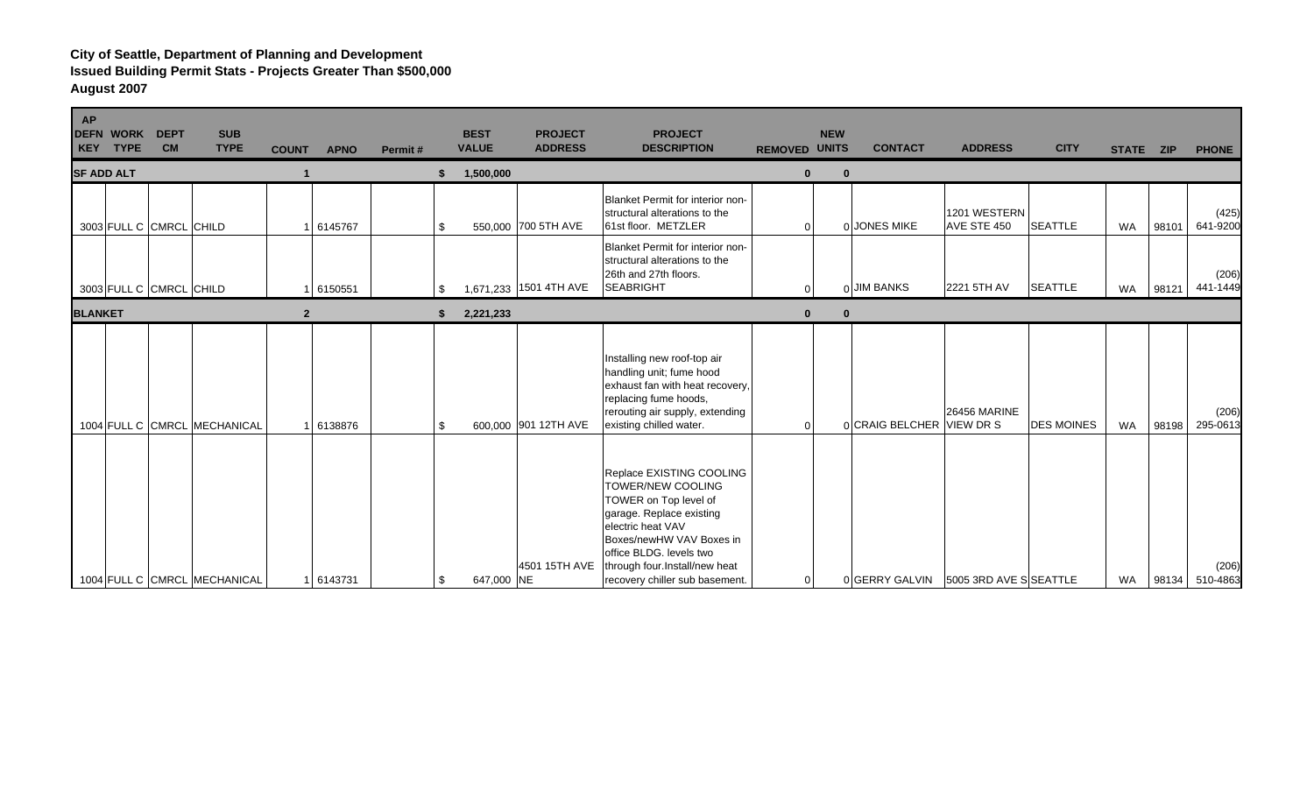| <b>AP</b><br><b>WORK</b><br><b>DEFN</b><br>KEY TYPE | <b>DEPT</b><br><b>CM</b> | <b>SUB</b><br><b>TYPE</b>    | <b>COUNT</b>   | <b>APNO</b> | Permit# |     | <b>BEST</b><br><b>VALUE</b> | <b>PROJECT</b><br><b>ADDRESS</b> | <b>PROJECT</b><br><b>DESCRIPTION</b>                                                                                                                                                                                                              | <b>REMOVED UNITS</b> |                | <b>NEW</b> | <b>CONTACT</b>                       | <b>ADDRESS</b>              | <b>CITY</b>       | STATE ZIP |       | <b>PHONE</b>      |
|-----------------------------------------------------|--------------------------|------------------------------|----------------|-------------|---------|-----|-----------------------------|----------------------------------|---------------------------------------------------------------------------------------------------------------------------------------------------------------------------------------------------------------------------------------------------|----------------------|----------------|------------|--------------------------------------|-----------------------------|-------------------|-----------|-------|-------------------|
| <b>SF ADD ALT</b>                                   |                          |                              |                |             |         |     | 1,500,000                   |                                  |                                                                                                                                                                                                                                                   |                      | $\Omega$       | $\Omega$   |                                      |                             |                   |           |       |                   |
| 3003 FULL C CMRCL CHILD                             |                          |                              |                | 6145767     |         | \$  |                             | 550,000 700 5TH AVE              | Blanket Permit for interior non-<br>structural alterations to the<br>61st floor. METZLER                                                                                                                                                          |                      | $\overline{0}$ |            | 0 JONES MIKE                         | 1201 WESTERN<br>AVE STE 450 | <b>SEATTLE</b>    | <b>WA</b> | 98101 | (425)<br>641-9200 |
| 3003 FULL C CMRCL CHILD                             |                          |                              |                | 1 6150551   |         | \$  |                             | 1,671,233 1501 4TH AVE           | Blanket Permit for interior non-<br>structural alterations to the<br>26th and 27th floors.<br>SEABRIGHT                                                                                                                                           |                      | $\Omega$       |            | 0 JIM BANKS                          | 2221 5TH AV                 | <b>SEATTLE</b>    | WA        | 98121 | (206)<br>441-1449 |
| <b>BLANKET</b>                                      |                          |                              | $\overline{2}$ |             |         | \$  | 2,221,233                   |                                  |                                                                                                                                                                                                                                                   |                      | $\mathbf{0}$   | $\bf{0}$   |                                      |                             |                   |           |       |                   |
|                                                     |                          | 1004 FULL C CMRCL MECHANICAL |                | 6138876     |         | \$. |                             | 600,000 901 12TH AVE             | Installing new roof-top air<br>handling unit; fume hood<br>exhaust fan with heat recovery,<br>replacing fume hoods,<br>rerouting air supply, extending<br>existing chilled water.                                                                 |                      | $\Omega$       |            | 0 CRAIG BELCHER VIEW DR S            | <b>26456 MARINE</b>         | <b>DES MOINES</b> | <b>WA</b> | 98198 | (206)<br>295-0613 |
|                                                     |                          | 1004 FULL C CMRCL MECHANICAL |                | 1 6143731   |         | \$  | 647,000 NE                  | 4501 15TH AVE                    | Replace EXISTING COOLING<br>TOWER/NEW COOLING<br>TOWER on Top level of<br>garage. Replace existing<br>electric heat VAV<br>Boxes/newHW VAV Boxes in<br>office BLDG. levels two<br>through four.Install/new heat<br>recovery chiller sub basement. |                      | $\overline{0}$ |            | 0 GERRY GALVIN 5005 3RD AVE SSEATTLE |                             |                   | WA        | 98134 | (206)<br>510-4863 |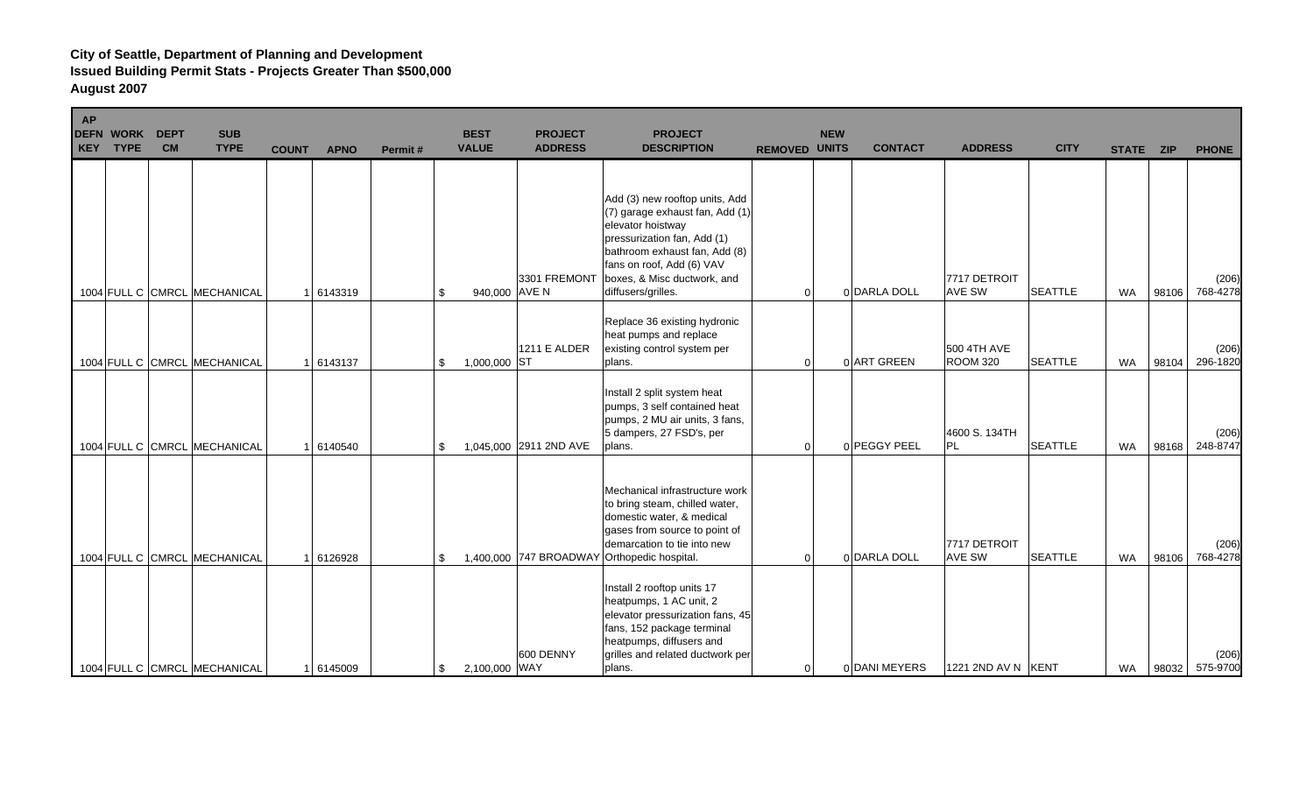| <b>AP</b> | <b>DEFN WORK</b><br><b>KEY TYPE</b> | <b>DEPT</b><br><b>CM</b> | <b>SUB</b><br><b>TYPE</b>    | <b>COUNT</b> | <b>APNO</b> | Permit# | <b>BEST</b><br><b>VALUE</b> | <b>PROJECT</b><br><b>ADDRESS</b> | <b>PROJECT</b><br><b>DESCRIPTION</b>                                                                                                                                                                                                     | <b>REMOVED UNITS</b> | <b>NEW</b> | <b>CONTACT</b> | <b>ADDRESS</b>                 | <b>CITY</b>    | STATE ZIP |       | <b>PHONE</b>      |
|-----------|-------------------------------------|--------------------------|------------------------------|--------------|-------------|---------|-----------------------------|----------------------------------|------------------------------------------------------------------------------------------------------------------------------------------------------------------------------------------------------------------------------------------|----------------------|------------|----------------|--------------------------------|----------------|-----------|-------|-------------------|
|           |                                     |                          | 1004 FULL C CMRCL MECHANICAL |              | 6143319     |         | 940,000 AVE N<br>\$         | 3301 FREMONT                     | Add (3) new rooftop units, Add<br>(7) garage exhaust fan, Add (1)<br>elevator hoistway<br>pressurization fan, Add (1)<br>bathroom exhaust fan, Add (8)<br>fans on roof, Add (6) VAV<br>boxes, & Misc ductwork, and<br>diffusers/grilles. | $\overline{0}$       |            | 0 DARLA DOLL   | 7717 DETROIT<br><b>AVE SW</b>  | <b>SEATTLE</b> | <b>WA</b> | 98106 | (206)<br>768-4278 |
|           |                                     |                          | 1004 FULL C CMRCL MECHANICAL |              | 6143137     |         | 1,000,000 ST<br>\$          | <b>1211 E ALDER</b>              | Replace 36 existing hydronic<br>heat pumps and replace<br>existing control system per<br>plans.                                                                                                                                          | 0                    |            | 0 ART GREEN    | 500 4TH AVE<br><b>ROOM 320</b> | <b>SEATTLE</b> | <b>WA</b> | 98104 | (206)<br>296-1820 |
|           |                                     |                          | 1004 FULL C CMRCL MECHANICAL |              | 1 6140540   |         | \$                          | 1,045,000 2911 2ND AVE           | Install 2 split system heat<br>pumps, 3 self contained heat<br>pumps, 2 MU air units, 3 fans,<br>5 dampers, 27 FSD's, per<br>plans.                                                                                                      | $\overline{0}$       |            | 0 PEGGY PEEL   | 4600 S. 134TH<br>PL            | <b>SEATTLE</b> | <b>WA</b> | 98168 | (206)<br>248-8747 |
|           |                                     |                          | 1004 FULL C CMRCL MECHANICAL |              | 6126928     |         | \$                          |                                  | Mechanical infrastructure work<br>to bring steam, chilled water,<br>domestic water, & medical<br>gases from source to point of<br>demarcation to tie into new<br>1,400,000 747 BROADWAY Orthopedic hospital.                             | $\overline{0}$       |            | 0 DARLA DOLL   | 7717 DETROIT<br><b>AVE SW</b>  | <b>SEATTLE</b> | <b>WA</b> | 98106 | (206)<br>768-4278 |
|           |                                     |                          | 1004 FULL C CMRCL MECHANICAL |              | 1 6145009   |         | 2,100,000 WAY<br>\$         | 600 DENNY                        | Install 2 rooftop units 17<br>heatpumps, 1 AC unit, 2<br>elevator pressurization fans, 45<br>fans, 152 package terminal<br>heatpumps, diffusers and<br>grilles and related ductwork per<br>plans.                                        | 0                    |            | 0 DANI MEYERS  | 1221 2ND AV N   KENT           |                | WA        | 98032 | (206)<br>575-9700 |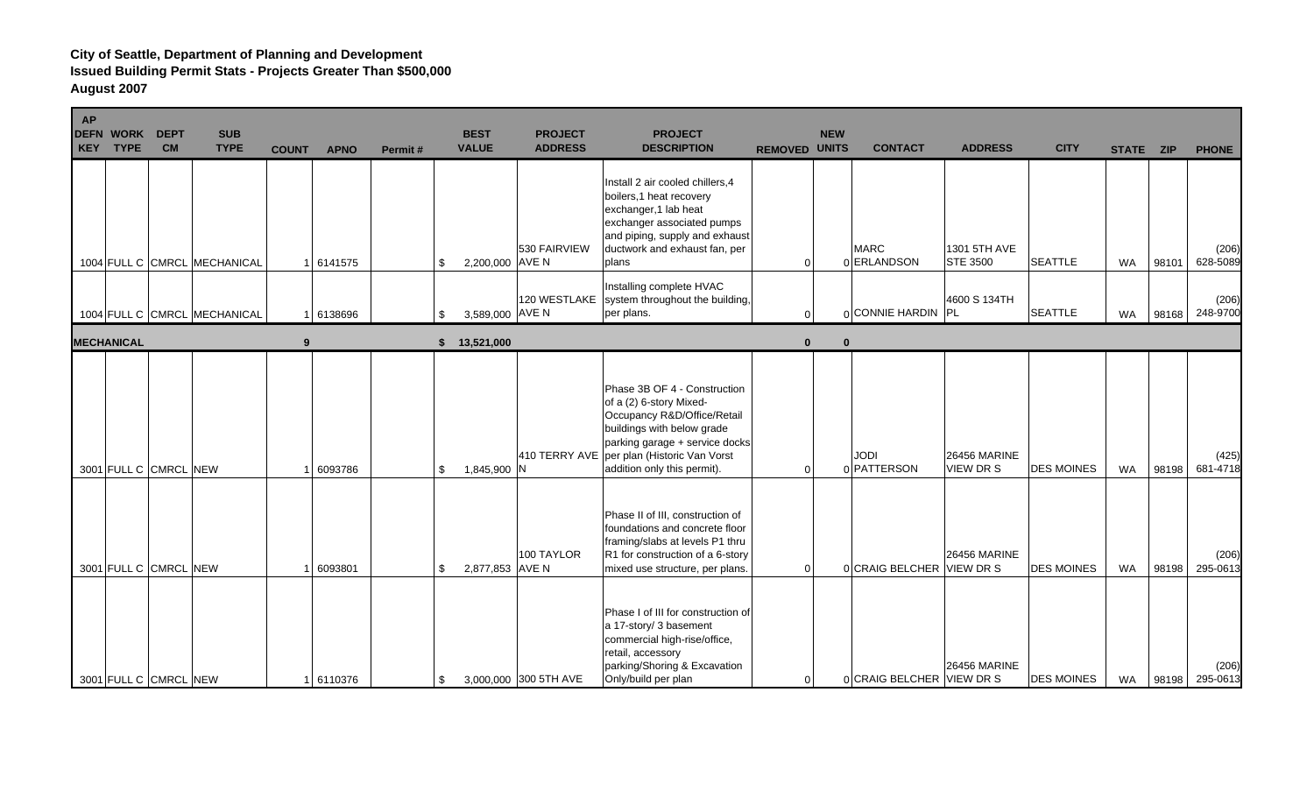| AP | <b>DEFN WORK</b><br><b>KEY TYPE</b> | <b>DEPT</b><br><b>CM</b> | <b>SUB</b><br><b>TYPE</b>    | <b>COUNT</b> | <b>APNO</b> | Permit# | <b>BEST</b><br><b>VALUE</b> | <b>PROJECT</b><br><b>ADDRESS</b> | <b>PROJECT</b><br><b>DESCRIPTION</b>                                                                                                                                                                                                | <b>REMOVED UNITS</b> | <b>NEW</b> | <b>CONTACT</b>             | <b>ADDRESS</b>                          | <b>CITY</b>       | STATE ZIP |       | <b>PHONE</b>      |
|----|-------------------------------------|--------------------------|------------------------------|--------------|-------------|---------|-----------------------------|----------------------------------|-------------------------------------------------------------------------------------------------------------------------------------------------------------------------------------------------------------------------------------|----------------------|------------|----------------------------|-----------------------------------------|-------------------|-----------|-------|-------------------|
|    |                                     |                          | 1004 FULL C CMRCL MECHANICAL |              | 6141575     |         | 2,200,000 AVE N<br>\$       | 530 FAIRVIEW                     | Install 2 air cooled chillers, 4<br>boilers, 1 heat recovery<br>exchanger, 1 lab heat<br>exchanger associated pumps<br>and piping, supply and exhaust<br>ductwork and exhaust fan, per<br>plans                                     | 0                    |            | <b>MARC</b><br>0 ERLANDSON | 1301 5TH AVE<br><b>STE 3500</b>         | <b>SEATTLE</b>    | <b>WA</b> | 98101 | (206)<br>628-5089 |
|    |                                     |                          | 1004 FULL C CMRCL MECHANICAL |              | 6138696     |         | 3,589,000 AVE N<br>\$       | 120 WESTLAKE                     | Installing complete HVAC<br>system throughout the building,<br>per plans.                                                                                                                                                           | U                    |            | 0 CONNIE HARDIN PL         | 4600 S 134TH                            | <b>SEATTLE</b>    | <b>WA</b> | 98168 | (206)<br>248-9700 |
|    | <b>MECHANICAL</b>                   |                          |                              | 9            |             |         | 13,521,000<br>\$            |                                  |                                                                                                                                                                                                                                     | $\bf{0}$             | $\bf{0}$   |                            |                                         |                   |           |       |                   |
|    |                                     | 3001 FULL C CMRCL NEW    |                              |              | 6093786     |         | \$<br>1,845,900 N           |                                  | Phase 3B OF 4 - Construction<br>of a (2) 6-story Mixed-<br>Occupancy R&D/Office/Retail<br>buildings with below grade<br>parking garage + service docks<br>410 TERRY AVE per plan (Historic Van Vorst<br>addition only this permit). | $\Omega$             |            | JODI<br>0 PATTERSON        | <b>26456 MARINE</b><br><b>VIEW DR S</b> | <b>DES MOINES</b> | <b>WA</b> | 98198 | (425)<br>681-4718 |
|    |                                     | 3001 FULL C CMRCL NEW    |                              |              | 6093801     |         | 2,877,853 AVE N<br>\$       | 100 TAYLOR                       | Phase II of III, construction of<br>foundations and concrete floor<br>framing/slabs at levels P1 thru<br>R1 for construction of a 6-story<br>mixed use structure, per plans.                                                        | $\Omega$             |            | 0 CRAIG BELCHER VIEW DR S  | <b>26456 MARINE</b>                     | <b>DES MOINES</b> | <b>WA</b> | 98198 | (206)<br>295-061  |
|    |                                     | 3001 FULL C CMRCL NEW    |                              |              | 1 6110376   |         | \$                          | 3,000,000 300 5TH AVE            | Phase I of III for construction of<br>a 17-story/ 3 basement<br>commercial high-rise/office,<br>retail, accessory<br>parking/Shoring & Excavation<br>Only/build per plan                                                            | 0                    |            | 0 CRAIG BELCHER VIEW DR S  | <b>26456 MARINE</b>                     | <b>DES MOINES</b> | WA        | 98198 | (206)<br>295-0613 |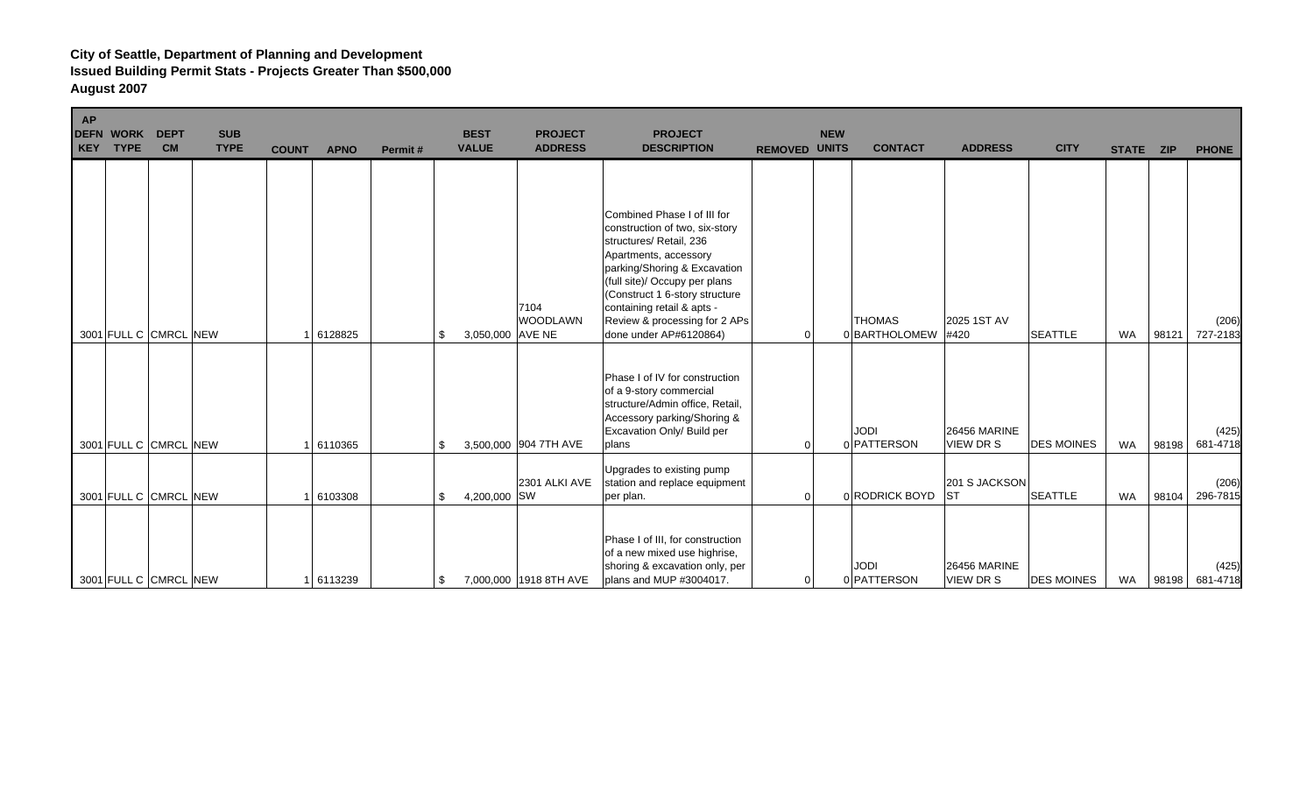| <b>AP</b> | <b>DEFN WORK</b><br>KEY TYPE | <b>DEPT</b><br><b>CM</b> | <b>SUB</b><br><b>TYPE</b> | <b>COUNT</b> | <b>APNO</b> | Permit# | <b>BEST</b><br><b>VALUE</b> | <b>PROJECT</b><br><b>ADDRESS</b> | <b>PROJECT</b><br><b>DESCRIPTION</b>                                                                                                                                                                                                                                                                          | <b>REMOVED UNITS</b> | <b>NEW</b>  | <b>CONTACT</b>                 | <b>ADDRESS</b>                          | <b>CITY</b>       | STATE ZIP |       | <b>PHONE</b>      |
|-----------|------------------------------|--------------------------|---------------------------|--------------|-------------|---------|-----------------------------|----------------------------------|---------------------------------------------------------------------------------------------------------------------------------------------------------------------------------------------------------------------------------------------------------------------------------------------------------------|----------------------|-------------|--------------------------------|-----------------------------------------|-------------------|-----------|-------|-------------------|
|           |                              | 3001 FULL C CMRCL NEW    |                           |              | 6128825     | \$      | 3,050,000 AVE NE            | 7104<br><b>WOODLAWN</b>          | Combined Phase I of III for<br>construction of two, six-story<br>structures/ Retail, 236<br>Apartments, accessory<br>parking/Shoring & Excavation<br>(full site)/ Occupy per plans<br>(Construct 1 6-story structure<br>containing retail & apts -<br>Review & processing for 2 APs<br>done under AP#6120864) |                      |             | <b>THOMAS</b><br>0 BARTHOLOMEW | 2025 1ST AV<br>#420                     | <b>SEATTLE</b>    | <b>WA</b> | 98121 | (206)<br>727-2183 |
|           |                              | 3001 FULL C CMRCL NEW    |                           |              | 6110365     | \$      |                             | 3,500,000 904 7TH AVE            | Phase I of IV for construction<br>of a 9-story commercial<br>structure/Admin office, Retail,<br>Accessory parking/Shoring &<br>Excavation Only/ Build per<br>plans                                                                                                                                            | <sup>0</sup>         | <b>JODI</b> | 0 PATTERSON                    | <b>26456 MARINE</b><br><b>VIEW DR S</b> | <b>DES MOINES</b> | <b>WA</b> | 98198 | (425)<br>681-4718 |
|           |                              | 3001 FULL C CMRCL NEW    |                           |              | 6103308     | \$      | 4,200,000 SW                | 2301 ALKI AVE                    | Upgrades to existing pump<br>station and replace equipment<br>per plan.                                                                                                                                                                                                                                       | 0                    |             | 0 RODRICK BOYD                 | 201 S JACKSON<br><b>ST</b>              | <b>SEATTLE</b>    | <b>WA</b> | 98104 | (206)<br>296-7815 |
|           |                              | 3001 FULL C CMRCL NEW    |                           |              | 1 6113239   | \$      |                             | 7,000,000 1918 8TH AVE           | Phase I of III, for construction<br>of a new mixed use highrise,<br>shoring & excavation only, per<br>plans and MUP #3004017.                                                                                                                                                                                 | 0                    | <b>JODI</b> | 0 PATTERSON                    | <b>26456 MARINE</b><br><b>VIEW DR S</b> | <b>DES MOINES</b> | <b>WA</b> | 98198 | (425)<br>681-4718 |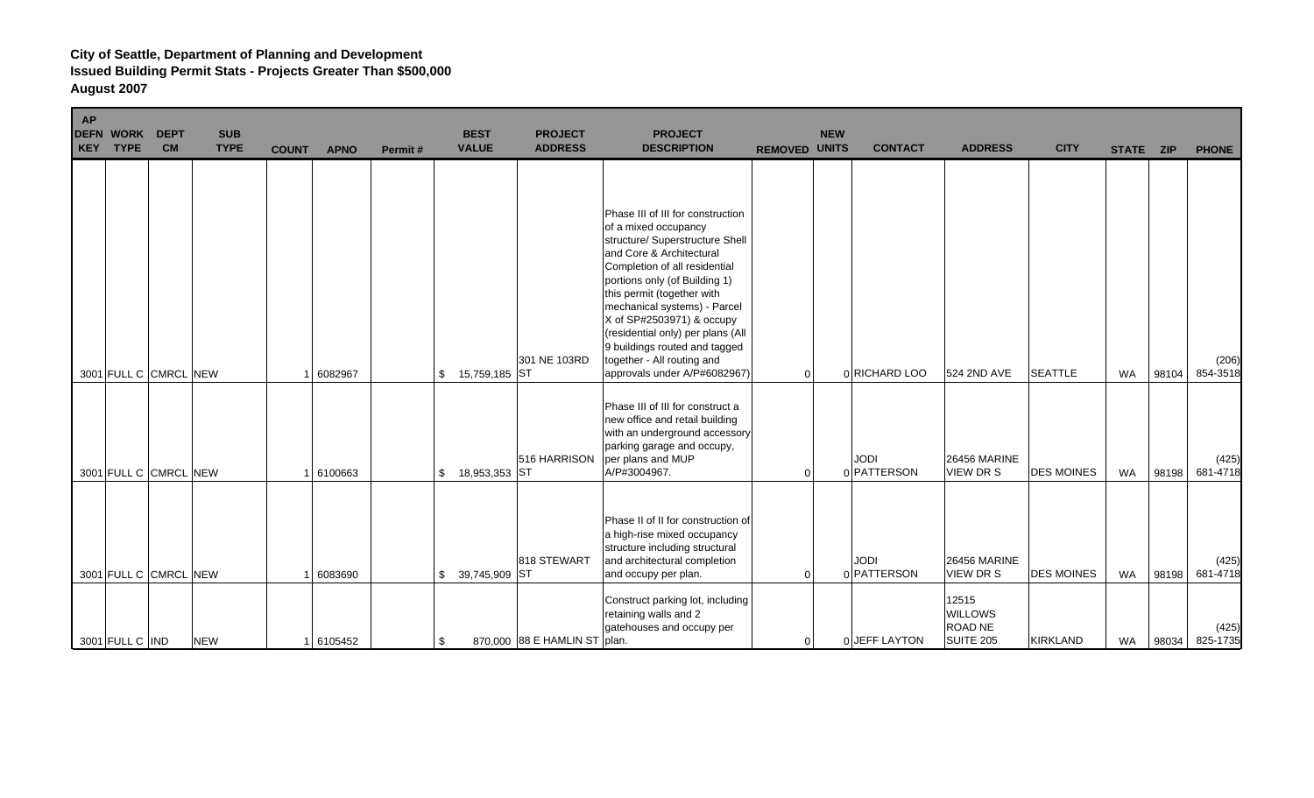| <b>AP</b> | <b>DEFN WORK</b><br>KEY TYPE | <b>DEPT</b><br><b>CM</b> | <b>SUB</b><br><b>TYPE</b> | <b>COUNT</b> | <b>APNO</b> | Permit# | <b>BEST</b><br><b>VALUE</b> | <b>PROJECT</b><br><b>ADDRESS</b> | <b>PROJECT</b><br><b>DESCRIPTION</b>                                                                                                                                                                                                                                                                                                                                                                                      | <b>REMOVED UNITS</b> | <b>NEW</b> | <b>CONTACT</b>             | <b>ADDRESS</b>                                         | <b>CITY</b>       | STATE ZIP |       | <b>PHONE</b>      |
|-----------|------------------------------|--------------------------|---------------------------|--------------|-------------|---------|-----------------------------|----------------------------------|---------------------------------------------------------------------------------------------------------------------------------------------------------------------------------------------------------------------------------------------------------------------------------------------------------------------------------------------------------------------------------------------------------------------------|----------------------|------------|----------------------------|--------------------------------------------------------|-------------------|-----------|-------|-------------------|
|           |                              | 3001 FULL C CMRCL NEW    |                           |              | 6082967     |         | 15,759,185 ST<br>\$         | 301 NE 103RD                     | Phase III of III for construction<br>of a mixed occupancy<br>structure/ Superstructure Shell<br>and Core & Architectural<br>Completion of all residential<br>portions only (of Building 1)<br>this permit (together with<br>mechanical systems) - Parcel<br>X of SP#2503971) & occupy<br>(residential only) per plans (All<br>9 buildings routed and tagged<br>together - All routing and<br>approvals under A/P#6082967) | $\Omega$             |            | 0 RICHARD LOO              | 524 2ND AVE                                            | <b>SEATTLE</b>    | <b>WA</b> | 98104 | (206)<br>854-3518 |
|           |                              | 3001 FULL C CMRCL NEW    |                           |              | 6100663     |         | 18,953,353 ST<br>\$         | 516 HARRISON                     | Phase III of III for construct a<br>new office and retail building<br>with an underground accessory<br>parking garage and occupy,<br>per plans and MUP<br>A/P#3004967.                                                                                                                                                                                                                                                    |                      |            | JODI<br>0 PATTERSON        | <b>26456 MARINE</b><br><b>VIEW DR S</b>                | <b>DES MOINES</b> | <b>WA</b> | 98198 | (425)<br>681-4718 |
|           |                              | 3001 FULL C CMRCL NEW    |                           |              | 6083690     |         | 39,745,909 ST<br>\$         | 818 STEWART                      | Phase II of II for construction of<br>a high-rise mixed occupancy<br>structure including structural<br>and architectural completion<br>and occupy per plan.                                                                                                                                                                                                                                                               | 0                    |            | <b>JODI</b><br>0 PATTERSON | <b>26456 MARINE</b><br><b>VIEW DR S</b>                | <b>DES MOINES</b> | <b>WA</b> | 98198 | (425)<br>681-4718 |
|           | 3001 FULL C IND              |                          | <b>NEW</b>                |              | 1 6105452   |         | \$                          | 870,000 88 E HAMLIN ST plan.     | Construct parking lot, including<br>retaining walls and 2<br>gatehouses and occupy per                                                                                                                                                                                                                                                                                                                                    | 0                    |            | 0 JEFF LAYTON              | 12515<br><b>WILLOWS</b><br><b>ROAD NE</b><br>SUITE 205 | <b>KIRKLAND</b>   | WA        | 98034 | (425)<br>825-1735 |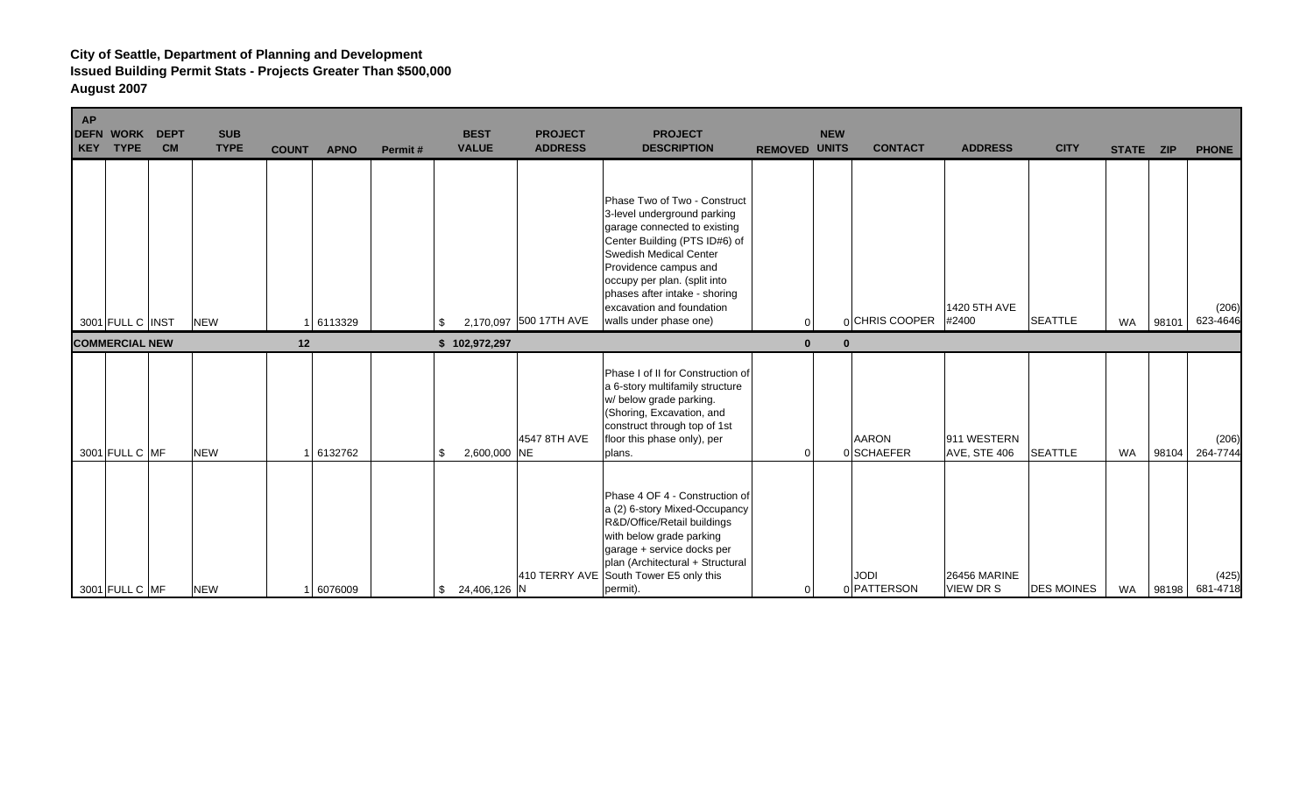| <b>AP</b> | <b>DEFN WORK</b><br>KEY TYPE | <b>DEPT</b><br><b>CM</b> | <b>SUB</b><br><b>TYPE</b> | <b>COUNT</b> | <b>APNO</b> | Permit# | <b>BEST</b><br><b>VALUE</b> | <b>PROJECT</b><br><b>ADDRESS</b> | <b>PROJECT</b><br><b>DESCRIPTION</b>                                                                                                                                                                                                                                                                           | <b>REMOVED UNITS</b> | <b>NEW</b> | <b>CONTACT</b>             | <b>ADDRESS</b>                         | <b>CITY</b>       | STATE ZIP |       | <b>PHONE</b>      |
|-----------|------------------------------|--------------------------|---------------------------|--------------|-------------|---------|-----------------------------|----------------------------------|----------------------------------------------------------------------------------------------------------------------------------------------------------------------------------------------------------------------------------------------------------------------------------------------------------------|----------------------|------------|----------------------------|----------------------------------------|-------------------|-----------|-------|-------------------|
|           | 3001 FULL C INST             |                          | <b>NEW</b>                |              | 6113329     | \$      |                             | 2,170,097 500 17TH AVE           | Phase Two of Two - Construct<br>3-level underground parking<br>garage connected to existing<br>Center Building (PTS ID#6) of<br><b>Swedish Medical Center</b><br>Providence campus and<br>occupy per plan. (split into<br>phases after intake - shoring<br>excavation and foundation<br>walls under phase one) | $\Omega$             |            | nCHRIS COOPER              | 1420 5TH AVE<br>#2400                  | <b>SEATTLE</b>    | <b>WA</b> | 98101 | (206)<br>623-4646 |
|           | <b>COMMERCIAL NEW</b>        |                          |                           | 12           |             |         | \$102,972,297               |                                  |                                                                                                                                                                                                                                                                                                                | $\bf{0}$             | 0          |                            |                                        |                   |           |       |                   |
|           | 3001 FULL C MF               |                          | <b>NEW</b>                |              | 6132762     | \$      | 2,600,000 NE                | 4547 8TH AVE                     | Phase I of II for Construction of<br>a 6-story multifamily structure<br>w/ below grade parking.<br>(Shoring, Excavation, and<br>construct through top of 1st<br>floor this phase only), per<br>plans.                                                                                                          | 0                    |            | <b>AARON</b><br>0 SCHAEFER | 911 WESTERN<br><b>AVE, STE 406</b>     | <b>SEATTLE</b>    | <b>WA</b> | 98104 | (206)<br>264-7744 |
|           | 3001 FULL C MF               |                          | <b>NEW</b>                |              | 1 6076009   | \$      | 24,406,126 N                |                                  | Phase 4 OF 4 - Construction of<br>a (2) 6-story Mixed-Occupancy<br>R&D/Office/Retail buildings<br>with below grade parking<br>garage + service docks per<br>plan (Architectural + Structural<br>410 TERRY AVE South Tower E5 only this<br>permit).                                                             | 0                    |            | <b>JODI</b><br>0 PATTERSON | <b>26456 MARINE</b><br><b>VIEW DRS</b> | <b>DES MOINES</b> | WA        | 98198 | (425)<br>681-4718 |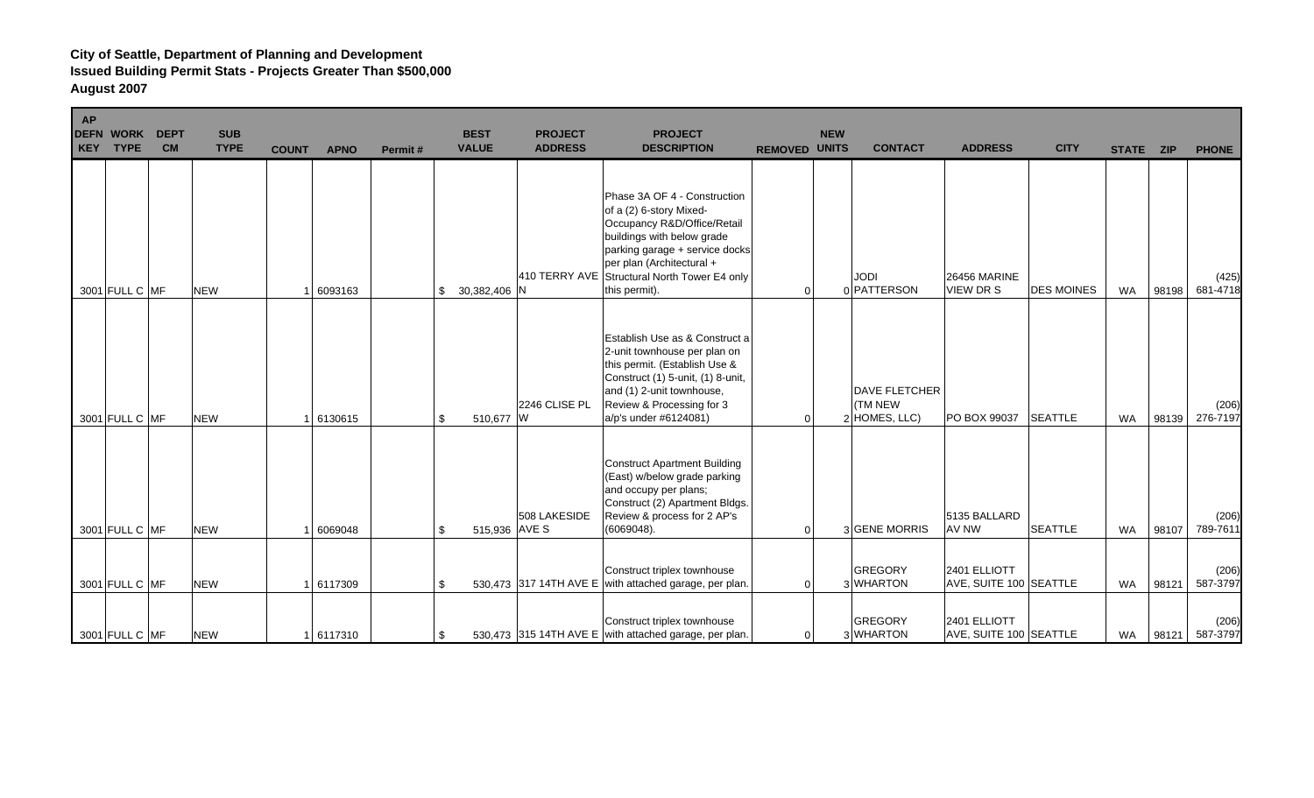| AP | <b>DEFN WORK</b><br>KEY TYPE | <b>DEPT</b><br><b>CM</b> | <b>SUB</b><br><b>TYPE</b> | <b>COUNT</b> | <b>APNO</b> | Permit# | <b>BEST</b><br><b>VALUE</b> | <b>PROJECT</b><br><b>ADDRESS</b> | <b>PROJECT</b><br><b>DESCRIPTION</b>                                                                                                                                                                                                                 | <b>REMOVED UNITS</b> | <b>NEW</b> | <b>CONTACT</b>                                             | <b>ADDRESS</b>                          | <b>CITY</b>       | STATE ZIP |       | <b>PHONE</b>      |
|----|------------------------------|--------------------------|---------------------------|--------------|-------------|---------|-----------------------------|----------------------------------|------------------------------------------------------------------------------------------------------------------------------------------------------------------------------------------------------------------------------------------------------|----------------------|------------|------------------------------------------------------------|-----------------------------------------|-------------------|-----------|-------|-------------------|
|    |                              | 3001 FULL C MF           | <b>NEW</b>                |              | 6093163     |         | 30,382,406 N<br>\$          |                                  | Phase 3A OF 4 - Construction<br>of a (2) 6-story Mixed-<br>Occupancy R&D/Office/Retail<br>buildings with below grade<br>parking garage + service docks<br>per plan (Architectural +<br>410 TERRY AVE Structural North Tower E4 only<br>this permit). | 0                    |            | <b>JODI</b><br>0 PATTERSON                                 | <b>26456 MARINE</b><br><b>VIEW DR S</b> | <b>DES MOINES</b> | <b>WA</b> | 98198 | (425)<br>681-4718 |
|    |                              | 3001 FULL C MF           | <b>NEW</b>                |              | 1 6130615   | \$      | 510,677 W                   | 2246 CLISE PL                    | Establish Use as & Construct a<br>2-unit townhouse per plan on<br>this permit. (Establish Use &<br>Construct (1) 5-unit, (1) 8-unit,<br>and (1) 2-unit townhouse,<br>Review & Processing for 3<br>a/p's under #6124081)                              | $\Omega$             |            | <b>DAVE FLETCHER</b><br><b>(TM NEW)</b><br>$2$ HOMES, LLC) | PO BOX 99037                            | <b>SEATTLE</b>    | <b>WA</b> | 98139 | (206)<br>276-7197 |
|    |                              | 3001 FULL C MF           | <b>NEW</b>                |              | 6069048     | -\$     | 515,936 AVE S               | 508 LAKESIDE                     | <b>Construct Apartment Building</b><br>(East) w/below grade parking<br>and occupy per plans;<br>Construct (2) Apartment Bldgs.<br>Review & process for 2 AP's<br>(6069048).                                                                          | $\Omega$             |            | 3 GENE MORRIS                                              | 5135 BALLARD<br><b>AV NW</b>            | <b>SEATTLE</b>    | <b>WA</b> | 98107 | (206)<br>789-7611 |
|    |                              | 3001 FULL C MF           | <b>NEW</b>                |              | 6117309     | \$      |                             |                                  | Construct triplex townhouse<br>530,473 317 14TH AVE E with attached garage, per plan.                                                                                                                                                                | $\Omega$             |            | <b>GREGORY</b><br>3 WHARTON                                | 2401 ELLIOTT<br>AVE, SUITE 100 SEATTLE  |                   | <b>WA</b> | 98121 | (206)<br>587-3797 |
|    |                              | 3001 FULL C MF           | <b>NEW</b>                |              | 1 6117310   | -\$     |                             |                                  | Construct triplex townhouse<br>530,473 315 14TH AVE E with attached garage, per plan.                                                                                                                                                                | 0                    |            | <b>GREGORY</b><br>3 WHARTON                                | 2401 ELLIOTT<br>AVE, SUITE 100 SEATTLE  |                   | WA        | 98121 | (206)<br>587-3797 |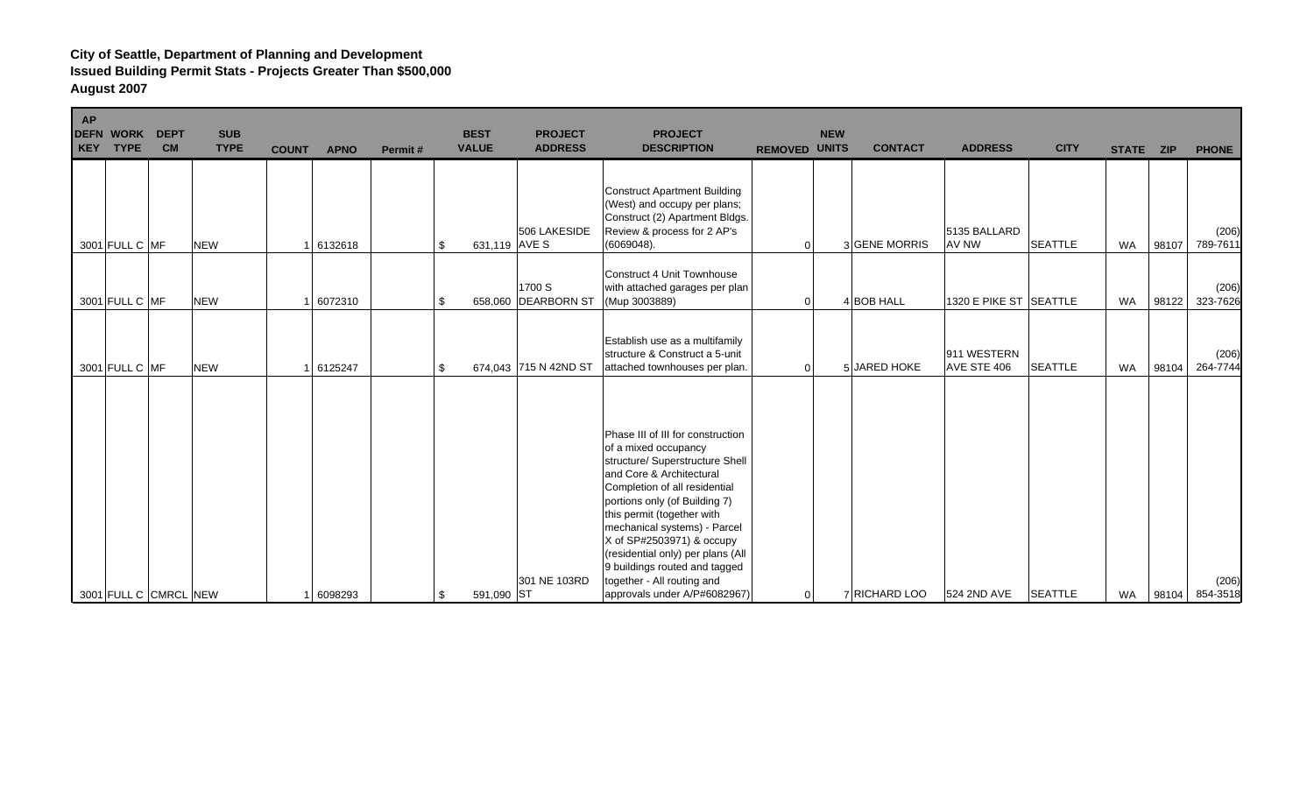| <b>AP</b><br>KEY | <b>DEFN WORK</b><br><b>TYPE</b> | <b>DEPT</b><br><b>CM</b> | <b>SUB</b><br><b>TYPE</b> | <b>COUNT</b> | <b>APNO</b> | Permit# | <b>BEST</b><br><b>VALUE</b> | <b>PROJECT</b><br><b>ADDRESS</b> | <b>PROJECT</b><br><b>DESCRIPTION</b>                                                                                                                                                                                                                                                                                                                                                                                      | <b>REMOVED UNITS</b> | <b>NEW</b> | <b>CONTACT</b> | <b>ADDRESS</b>             | <b>CITY</b>    | STATE ZIP |       | <b>PHONE</b>      |
|------------------|---------------------------------|--------------------------|---------------------------|--------------|-------------|---------|-----------------------------|----------------------------------|---------------------------------------------------------------------------------------------------------------------------------------------------------------------------------------------------------------------------------------------------------------------------------------------------------------------------------------------------------------------------------------------------------------------------|----------------------|------------|----------------|----------------------------|----------------|-----------|-------|-------------------|
|                  | 3001 FULL C MF                  |                          | <b>NEW</b>                |              | 6132618     |         | 631,119 AVE S<br>\$         | 506 LAKESIDE                     | <b>Construct Apartment Building</b><br>(West) and occupy per plans;<br>Construct (2) Apartment Bldgs.<br>Review & process for 2 AP's<br>(6069048).                                                                                                                                                                                                                                                                        | $\overline{0}$       |            | 3 GENE MORRIS  | 5135 BALLARD<br>AV NW      | <b>SEATTLE</b> | <b>WA</b> | 98107 | (206)<br>789-7611 |
|                  | 3001 FULL C MF                  |                          | <b>NEW</b>                |              | 6072310     |         | -\$                         | 1700 S<br>658,060 DEARBORN ST    | <b>Construct 4 Unit Townhouse</b><br>with attached garages per plan<br>(Mup 3003889)                                                                                                                                                                                                                                                                                                                                      | 0                    |            | 4 BOB HALL     | 1320 E PIKE ST SEATTLE     |                | <b>WA</b> | 98122 | (206)<br>323-7626 |
|                  | 3001 FULL C MF                  |                          | <b>NEW</b>                |              | 6125247     |         | -\$                         | 674,043 715 N 42ND ST            | Establish use as a multifamily<br>structure & Construct a 5-unit<br>attached townhouses per plan.                                                                                                                                                                                                                                                                                                                         | $\Omega$             |            | 5 JARED HOKE   | 911 WESTERN<br>AVE STE 406 | <b>SEATTLE</b> | <b>WA</b> | 98104 | (206)<br>264-7744 |
|                  |                                 | 3001 FULL C CMRCL NEW    |                           |              | 6098293     |         | 591,090 ST<br>-\$           | 301 NE 103RD                     | Phase III of III for construction<br>of a mixed occupancy<br>structure/ Superstructure Shell<br>and Core & Architectural<br>Completion of all residential<br>portions only (of Building 7)<br>this permit (together with<br>mechanical systems) - Parcel<br>X of SP#2503971) & occupy<br>(residential only) per plans (All<br>9 buildings routed and tagged<br>together - All routing and<br>approvals under A/P#6082967) | $\overline{0}$       |            | 7 RICHARD LOO  | 524 2ND AVE                | <b>SEATTLE</b> | <b>WA</b> | 98104 | (206)<br>854-3518 |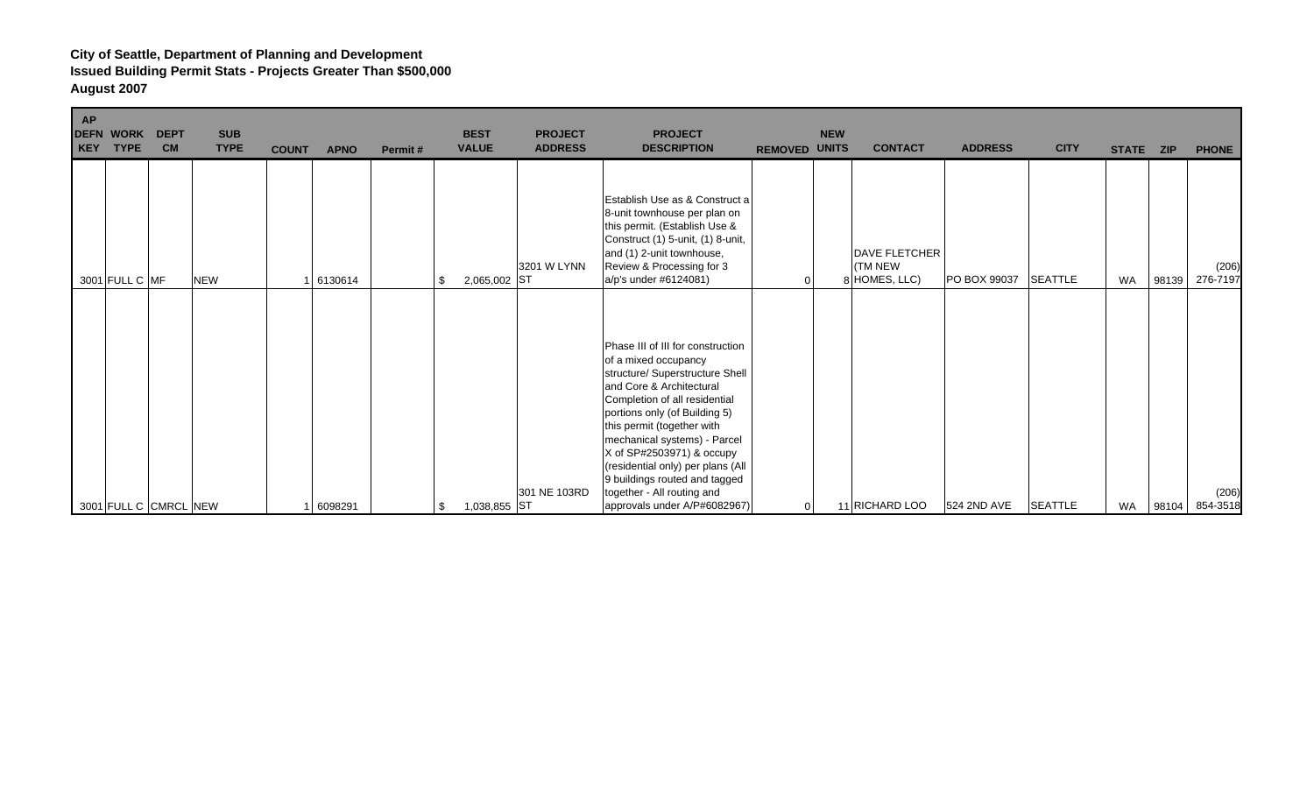| AP<br><b>DEFN WORK</b><br>KEY<br><b>TYPE</b> | <b>DEPT</b><br><b>CM</b> | <b>SUB</b><br><b>TYPE</b> | <b>COUNT</b> | <b>APNO</b> | Permit# | <b>BEST</b><br><b>VALUE</b> | <b>PROJECT</b><br><b>ADDRESS</b> | <b>PROJECT</b><br><b>DESCRIPTION</b>                                                                                                                                                                                                                                                                                                                                                                                      | <b>REMOVED</b> | <b>NEW</b><br><b>UNITS</b> | <b>CONTACT</b>                                          | <b>ADDRESS</b> | <b>CITY</b>    | <b>STATE</b> | <b>ZIP</b> | <b>PHONE</b>      |
|----------------------------------------------|--------------------------|---------------------------|--------------|-------------|---------|-----------------------------|----------------------------------|---------------------------------------------------------------------------------------------------------------------------------------------------------------------------------------------------------------------------------------------------------------------------------------------------------------------------------------------------------------------------------------------------------------------------|----------------|----------------------------|---------------------------------------------------------|----------------|----------------|--------------|------------|-------------------|
| 3001 FULL C MF                               |                          | <b>NEW</b>                |              | 6130614     |         | 2,065,002 ST<br>-\$         | 3201 W LYNN                      | Establish Use as & Construct a<br>8-unit townhouse per plan on<br>this permit. (Establish Use &<br>Construct (1) 5-unit, (1) 8-unit,<br>and (1) 2-unit townhouse,<br>Review & Processing for 3<br>a/p's under #6124081)                                                                                                                                                                                                   |                |                            | <b>DAVE FLETCHER</b><br><b>(TM NEW</b><br>8 HOMES, LLC) | PO BOX 99037   | <b>SEATTLE</b> | <b>WA</b>    | 98139      | (206)<br>276-7197 |
| 3001 FULL C CMRCL NEW                        |                          |                           |              | 6098291     |         | 1,038,855 ST<br>-\$         | 301 NE 103RD                     | Phase III of III for construction<br>of a mixed occupancy<br>structure/ Superstructure Shell<br>and Core & Architectural<br>Completion of all residential<br>portions only (of Building 5)<br>this permit (together with<br>mechanical systems) - Parcel<br>X of SP#2503971) & occupy<br>(residential only) per plans (All<br>9 buildings routed and tagged<br>together - All routing and<br>approvals under A/P#6082967) | 01             |                            | 11 RICHARD LOO                                          | 524 2ND AVE    | <b>SEATTLE</b> | <b>WA</b>    | 98104      | (206)<br>854-3518 |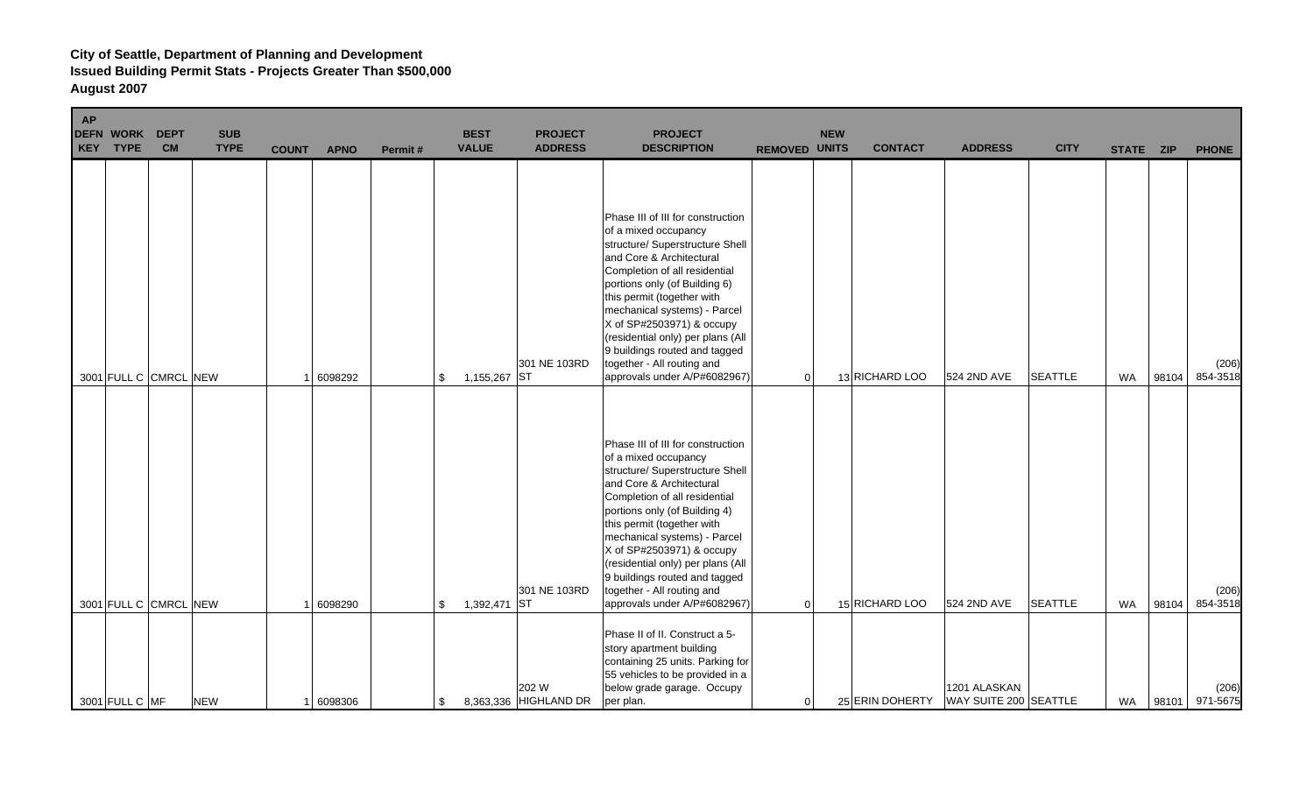| AP | <b>DEFN WORK</b><br>KEY TYPE | <b>DEPT</b><br><b>CM</b> | <b>SUB</b><br><b>TYPE</b> | <b>COUNT</b> | <b>APNO</b> | Permit# | <b>BEST</b><br><b>VALUE</b> | <b>PROJECT</b><br><b>ADDRESS</b> | <b>PROJECT</b><br><b>DESCRIPTION</b>                                                                                                                                                                                                                                                                                                                                                                                      | <b>REMOVED UNITS</b> | <b>NEW</b> | <b>CONTACT</b>  | <b>ADDRESS</b>                        | <b>CITY</b>    | STATE ZIP |       | <b>PHONE</b>      |
|----|------------------------------|--------------------------|---------------------------|--------------|-------------|---------|-----------------------------|----------------------------------|---------------------------------------------------------------------------------------------------------------------------------------------------------------------------------------------------------------------------------------------------------------------------------------------------------------------------------------------------------------------------------------------------------------------------|----------------------|------------|-----------------|---------------------------------------|----------------|-----------|-------|-------------------|
|    | 3001 FULL C CMRCL NEW        |                          |                           |              | 6098292     |         | 1,155,267 ST<br>\$          | 301 NE 103RD                     | Phase III of III for construction<br>of a mixed occupancy<br>structure/ Superstructure Shell<br>and Core & Architectural<br>Completion of all residential<br>portions only (of Building 6)<br>this permit (together with<br>mechanical systems) - Parcel<br>X of SP#2503971) & occupy<br>(residential only) per plans (All<br>9 buildings routed and tagged<br>together - All routing and<br>approvals under A/P#6082967) | $\Omega$             |            | 13 RICHARD LOO  | 524 2ND AVE                           | <b>SEATTLE</b> | <b>WA</b> | 98104 | (206)<br>854-3518 |
|    | 3001 FULL C CMRCL NEW        |                          |                           |              | 6098290     |         | 1,392,471 ST<br>\$          | 301 NE 103RD                     | Phase III of III for construction<br>of a mixed occupancy<br>structure/ Superstructure Shell<br>and Core & Architectural<br>Completion of all residential<br>portions only (of Building 4)<br>this permit (together with<br>mechanical systems) - Parcel<br>X of SP#2503971) & occupy<br>(residential only) per plans (All<br>9 buildings routed and tagged<br>together - All routing and<br>approvals under A/P#6082967) | 0                    |            | 15 RICHARD LOO  | 524 2ND AVE                           | <b>SEATTLE</b> | <b>WA</b> | 98104 | (206)<br>854-3518 |
|    | 3001 FULL C MF               |                          | <b>NEW</b>                |              | 1 6098306   |         | \$                          | 202 W<br>8,363,336 HIGHLAND DR   | Phase II of II. Construct a 5-<br>story apartment building<br>containing 25 units. Parking for<br>55 vehicles to be provided in a<br>below grade garage. Occupy<br>per plan.                                                                                                                                                                                                                                              | $\overline{0}$       |            | 25 ERIN DOHERTY | 1201 ALASKAN<br>WAY SUITE 200 SEATTLE |                | <b>WA</b> | 98101 | (206)<br>971-5675 |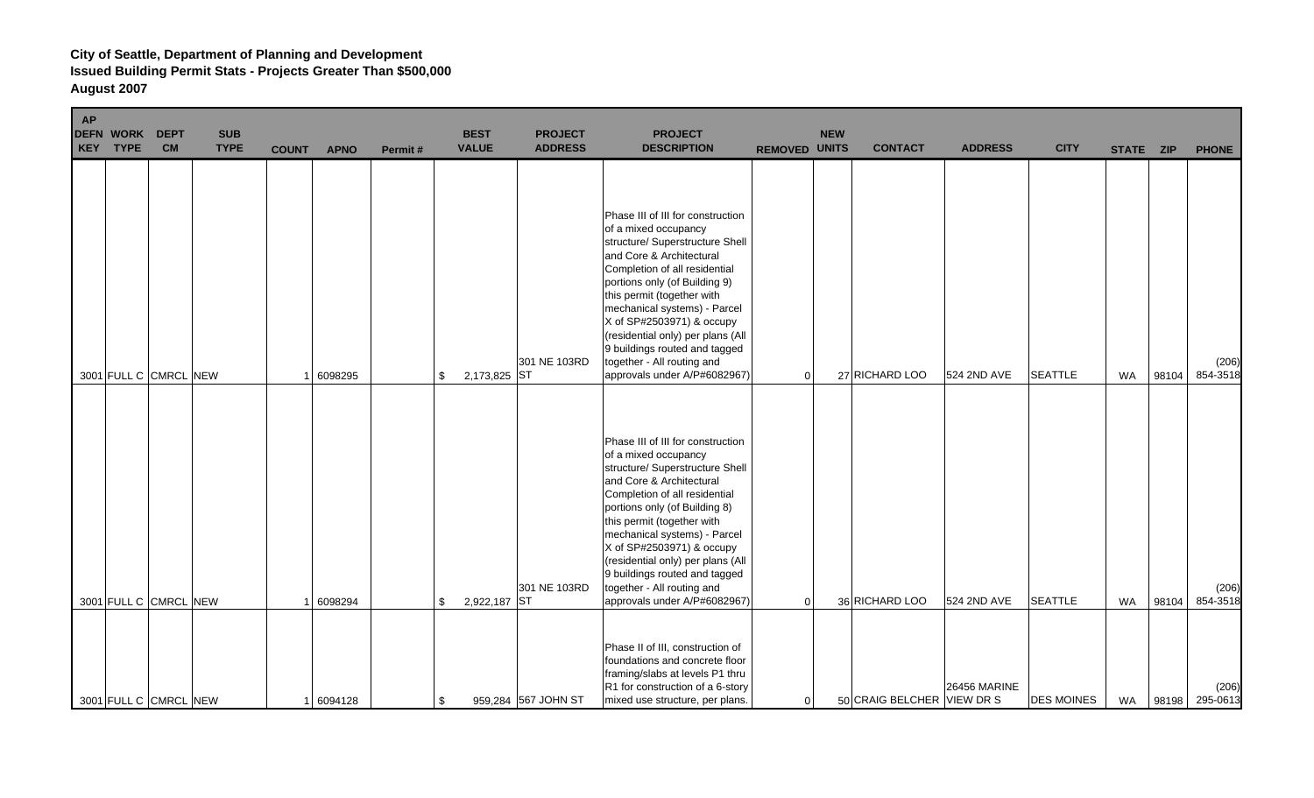| <b>AP</b><br>KEY | <b>DEFN WORK</b><br><b>TYPE</b> | <b>DEPT</b><br><b>CM</b> | <b>SUB</b><br><b>TYPE</b> | <b>COUNT</b> | <b>APNO</b> | Permit# | <b>BEST</b><br><b>VALUE</b> | <b>PROJECT</b><br><b>ADDRESS</b> | <b>PROJECT</b><br><b>DESCRIPTION</b>                                                                                                                                                                                                                                                                                                                                                                                      | <b>REMOVED UNITS</b> | <b>NEW</b> | <b>CONTACT</b>             | <b>ADDRESS</b>      | <b>CITY</b>       | STATE ZIP |       | <b>PHONE</b>            |
|------------------|---------------------------------|--------------------------|---------------------------|--------------|-------------|---------|-----------------------------|----------------------------------|---------------------------------------------------------------------------------------------------------------------------------------------------------------------------------------------------------------------------------------------------------------------------------------------------------------------------------------------------------------------------------------------------------------------------|----------------------|------------|----------------------------|---------------------|-------------------|-----------|-------|-------------------------|
|                  | 3001 FULL C CMRCL NEW           |                          |                           |              | 6098295     | \$      | 2,173,825 ST                | 301 NE 103RD                     | Phase III of III for construction<br>of a mixed occupancy<br>structure/ Superstructure Shell<br>and Core & Architectural<br>Completion of all residential<br>portions only (of Building 9)<br>this permit (together with<br>mechanical systems) - Parcel<br>X of SP#2503971) & occupy<br>(residential only) per plans (All<br>9 buildings routed and tagged<br>together - All routing and<br>approvals under A/P#6082967) | 0                    |            | 27 RICHARD LOO             | 524 2ND AVE         | <b>SEATTLE</b>    | <b>WA</b> | 98104 | (206)<br>854-3518       |
|                  | 3001 FULL C CMRCL NEW           |                          |                           |              | 6098294     |         | 2,922,187 ST<br>\$          | 301 NE 103RD                     | Phase III of III for construction<br>of a mixed occupancy<br>structure/ Superstructure Shell<br>and Core & Architectural<br>Completion of all residential<br>portions only (of Building 8)<br>this permit (together with<br>mechanical systems) - Parcel<br>X of SP#2503971) & occupy<br>(residential only) per plans (All<br>9 buildings routed and tagged<br>together - All routing and<br>approvals under A/P#6082967) | 0                    |            | 36 RICHARD LOO             | 524 2ND AVE         | <b>SEATTLE</b>    | <b>WA</b> | 98104 | (206)<br>854-3518       |
|                  | 3001 FULL C CMRCL NEW           |                          |                           |              | 1 6094128   | \$      |                             | 959,284 567 JOHN ST              | Phase II of III, construction of<br>foundations and concrete floor<br>framing/slabs at levels P1 thru<br>R1 for construction of a 6-story<br>mixed use structure, per plans.                                                                                                                                                                                                                                              | 0                    |            | 50 CRAIG BELCHER VIEW DR S | <b>26456 MARINE</b> | <b>DES MOINES</b> | <b>WA</b> |       | (206)<br>98198 295-0613 |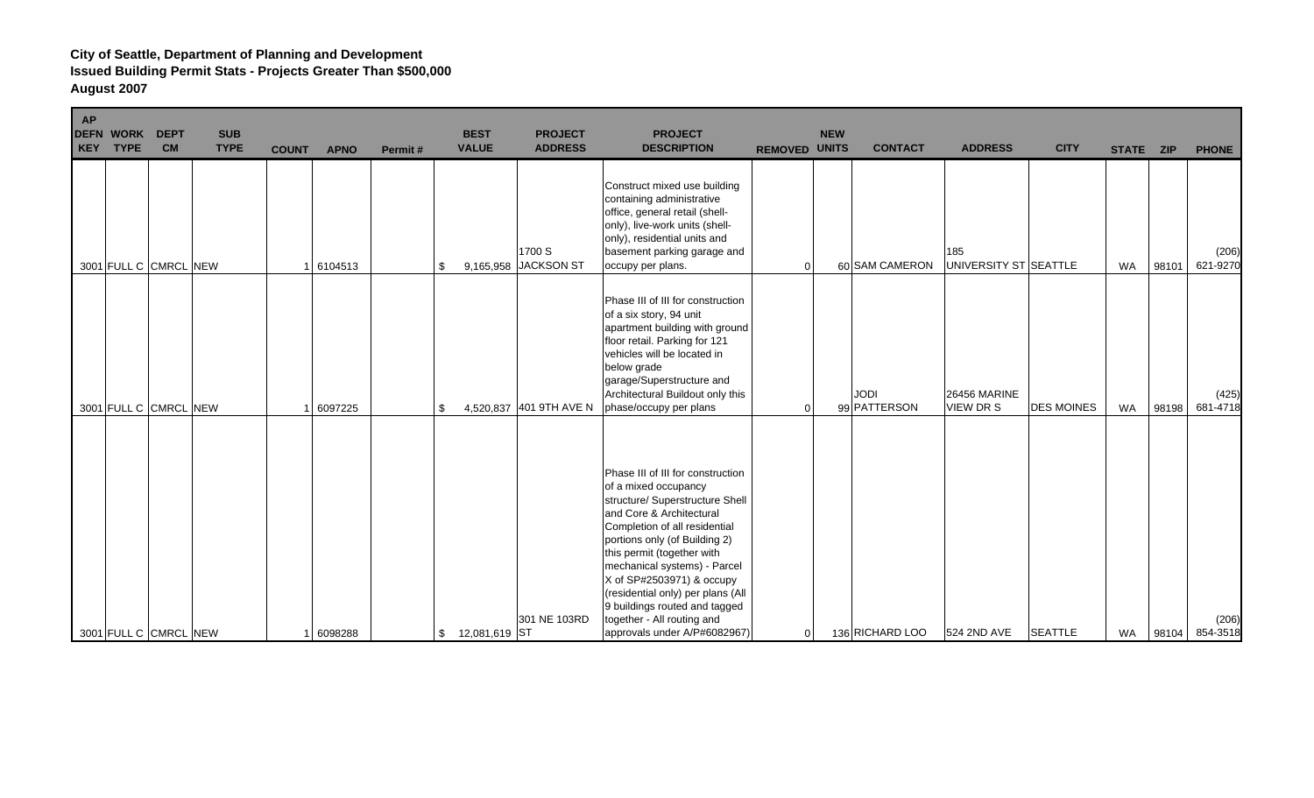| <b>AP</b> | <b>DEFN WORK</b><br>KEY TYPE | <b>DEPT</b><br><b>CM</b> | <b>SUB</b><br><b>TYPE</b> | <b>COUNT</b> | <b>APNO</b> | Permit# | <b>BEST</b><br><b>VALUE</b> | <b>PROJECT</b><br><b>ADDRESS</b> | <b>PROJECT</b><br><b>DESCRIPTION</b>                                                                                                                                                                                                                                                                                                                                                                                      | <b>REMOVED UNITS</b> | <b>NEW</b> | <b>CONTACT</b>              | <b>ADDRESS</b>               | <b>CITY</b>       | STATE ZIP |       | <b>PHONE</b>      |
|-----------|------------------------------|--------------------------|---------------------------|--------------|-------------|---------|-----------------------------|----------------------------------|---------------------------------------------------------------------------------------------------------------------------------------------------------------------------------------------------------------------------------------------------------------------------------------------------------------------------------------------------------------------------------------------------------------------------|----------------------|------------|-----------------------------|------------------------------|-------------------|-----------|-------|-------------------|
|           |                              | 3001 FULL C CMRCL NEW    |                           |              | 6104513     |         | \$                          | 1700 S<br>9,165,958 JACKSON ST   | Construct mixed use building<br>containing administrative<br>office, general retail (shell-<br>only), live-work units (shell-<br>only), residential units and<br>basement parking garage and<br>occupy per plans.                                                                                                                                                                                                         | 0                    |            | 60 SAM CAMERON              | 185<br>UNIVERSITY ST SEATTLE |                   | <b>WA</b> | 98101 | (206)<br>621-9270 |
|           |                              | 3001 FULL C CMRCL NEW    |                           |              | 6097225     |         | \$                          | 4,520,837 401 9TH AVE N          | Phase III of III for construction<br>of a six story, 94 unit<br>apartment building with ground<br>floor retail. Parking for 121<br>vehicles will be located in<br>below grade<br>garage/Superstructure and<br>Architectural Buildout only this<br>phase/occupy per plans                                                                                                                                                  | 0                    |            | <b>JODI</b><br>99 PATTERSON | 26456 MARINE<br>VIEW DR S    | <b>DES MOINES</b> | <b>WA</b> | 98198 | (425)<br>681-4718 |
|           |                              | 3001 FULL C CMRCL NEW    |                           |              | 6098288     |         | 12,081,619 ST<br>\$         | 301 NE 103RD                     | Phase III of III for construction<br>of a mixed occupancy<br>structure/ Superstructure Shell<br>and Core & Architectural<br>Completion of all residential<br>portions only (of Building 2)<br>this permit (together with<br>mechanical systems) - Parcel<br>X of SP#2503971) & occupy<br>(residential only) per plans (All<br>9 buildings routed and tagged<br>together - All routing and<br>approvals under A/P#6082967) | 0                    |            | 136 RICHARD LOO             | 524 2ND AVE                  | <b>SEATTLE</b>    | WA        | 98104 | (206)<br>854-3518 |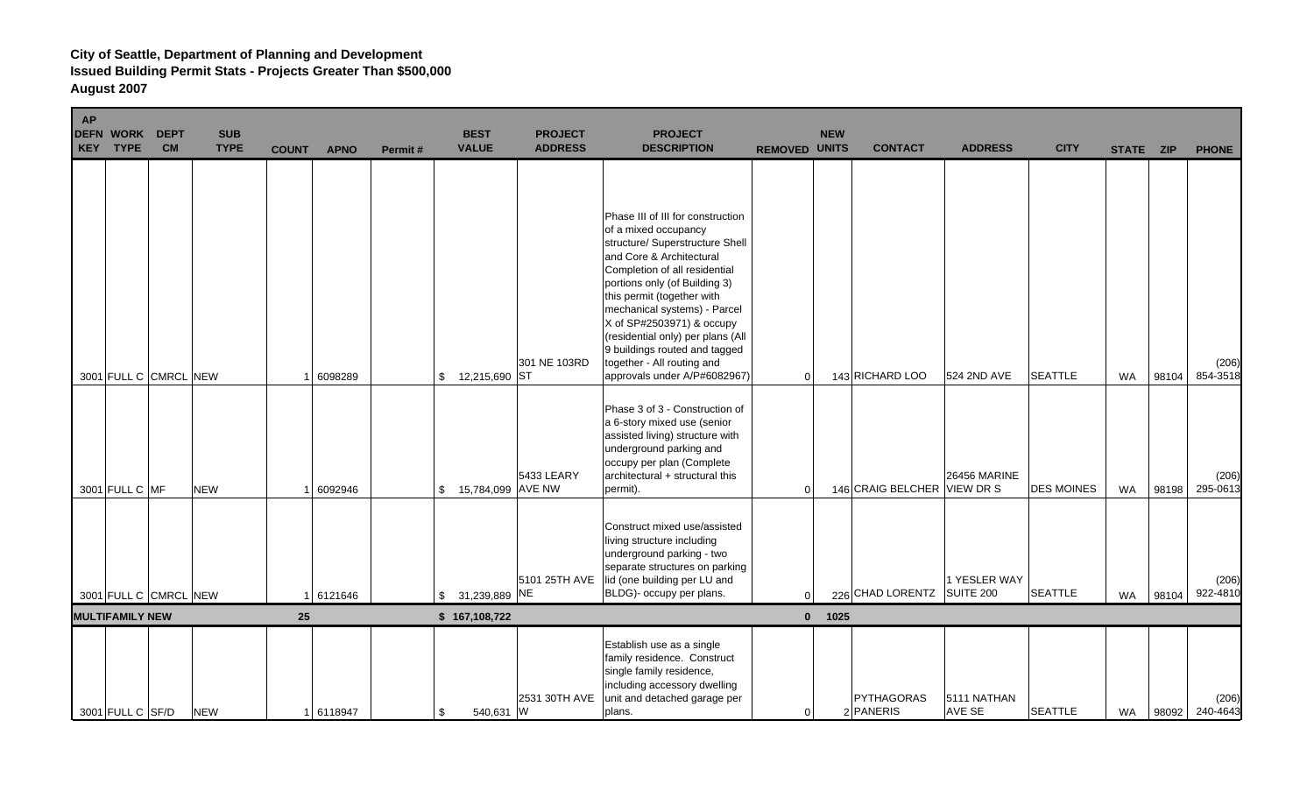| <b>AP</b><br><b>DEFN</b><br>KEY | <b>WORK</b><br><b>TYPE</b> | <b>DEPT</b><br><b>CM</b> | <b>SUB</b><br><b>TYPE</b> | <b>COUNT</b> | <b>APNO</b> | Permit# | <b>BEST</b><br><b>VALUE</b>         | <b>PROJECT</b><br><b>ADDRESS</b> | <b>PROJECT</b><br><b>DESCRIPTION</b>                                                                                                                                                                                                                                                                                                                                                                                      | <b>REMOVED UNITS</b> | <b>NEW</b> | <b>CONTACT</b>              | <b>ADDRESS</b>               | <b>CITY</b>       | STATE ZIP |       | <b>PHONE</b>      |
|---------------------------------|----------------------------|--------------------------|---------------------------|--------------|-------------|---------|-------------------------------------|----------------------------------|---------------------------------------------------------------------------------------------------------------------------------------------------------------------------------------------------------------------------------------------------------------------------------------------------------------------------------------------------------------------------------------------------------------------------|----------------------|------------|-----------------------------|------------------------------|-------------------|-----------|-------|-------------------|
|                                 |                            | 3001 FULL C CMRCL NEW    |                           |              | 6098289     |         | 12,215,690 ST<br>$\mathbb{S}$       | 301 NE 103RD                     | Phase III of III for construction<br>of a mixed occupancy<br>structure/ Superstructure Shell<br>and Core & Architectural<br>Completion of all residential<br>portions only (of Building 3)<br>this permit (together with<br>mechanical systems) - Parcel<br>X of SP#2503971) & occupy<br>(residential only) per plans (All<br>9 buildings routed and tagged<br>together - All routing and<br>approvals under A/P#6082967) | $\Omega$             |            | 143 RICHARD LOO             | 524 2ND AVE                  | <b>SEATTLE</b>    | <b>WA</b> | 98104 | (206)<br>854-3518 |
|                                 | 3001 FULL C MF             |                          | <b>NEW</b>                |              | 6092946     |         | 15,784,099 AVE NW<br>$\mathfrak{S}$ | 5433 LEARY                       | Phase 3 of 3 - Construction of<br>a 6-story mixed use (senior<br>assisted living) structure with<br>underground parking and<br>occupy per plan (Complete<br>architectural + structural this<br>permit).                                                                                                                                                                                                                   | $\Omega$             |            | 146 CRAIG BELCHER VIEW DR S | <b>26456 MARINE</b>          | <b>DES MOINES</b> | <b>WA</b> | 98198 | (206)<br>295-0613 |
|                                 |                            | 3001 FULL C CMRCL NEW    |                           |              | 6121646     |         | \$ 31,239,889 NE                    | 5101 25TH AVE                    | Construct mixed use/assisted<br>living structure including<br>underground parking - two<br>separate structures on parking<br>lid (one building per LU and<br>BLDG)- occupy per plans.                                                                                                                                                                                                                                     | $\Omega$             |            | 226 CHAD LORENTZ SUITE 200  | 1 YESLER WAY                 | <b>SEATTLE</b>    | <b>WA</b> | 98104 | (206)<br>922-4810 |
|                                 | <b>MULTIFAMILY NEW</b>     |                          |                           | 25           |             |         | \$167,108,722                       |                                  |                                                                                                                                                                                                                                                                                                                                                                                                                           |                      | $0$ 1025   |                             |                              |                   |           |       |                   |
|                                 | 3001 FULL C SF/D           |                          | <b>NEW</b>                |              | 1 6118947   |         | 540,631 W<br>\$                     | 2531 30TH AVE                    | Establish use as a single<br>family residence. Construct<br>single family residence,<br>including accessory dwelling<br>unit and detached garage per<br>plans.                                                                                                                                                                                                                                                            | $\overline{0}$       |            | PYTHAGORAS<br>2 PANERIS     | 5111 NATHAN<br><b>AVE SE</b> | <b>SEATTLE</b>    | <b>WA</b> | 98092 | (206)<br>240-4643 |